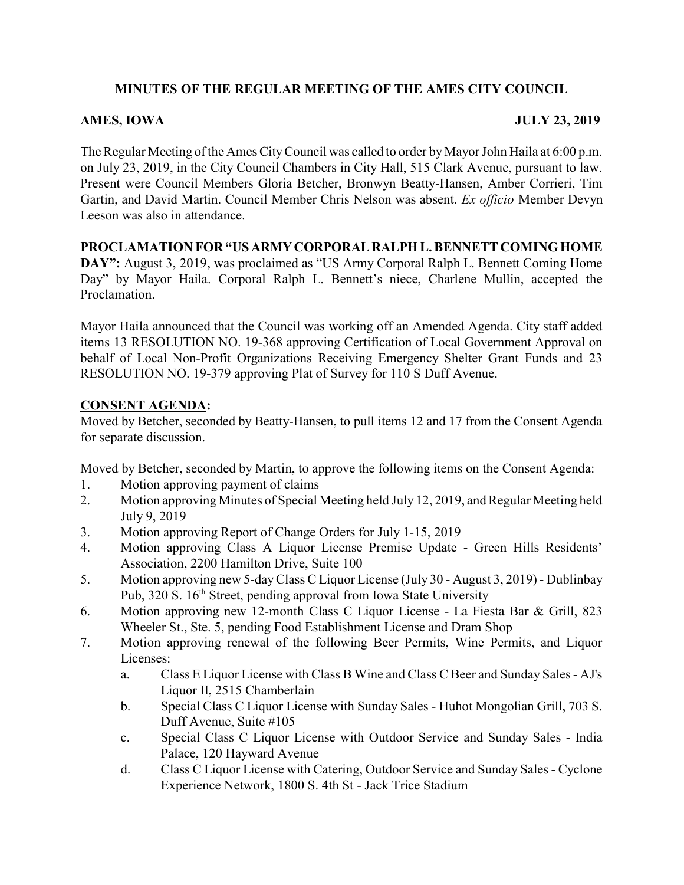# MINUTES OF THE REGULAR MEETING OF THE AMES CITY COUNCIL

## AMES, IOWA JULY 23, 2019

The Regular Meeting of the Ames City Council was called to order by Mayor John Haila at 6:00 p.m. on July 23, 2019, in the City Council Chambers in City Hall, 515 Clark Avenue, pursuant to law. Present were Council Members Gloria Betcher, Bronwyn Beatty-Hansen, Amber Corrieri, Tim Gartin, and David Martin. Council Member Chris Nelson was absent. Ex officio Member Devyn Leeson was also in attendance.

### PROCLAMATION FOR "US ARMY CORPORAL RALPH L. BENNETT COMING HOME

DAY": August 3, 2019, was proclaimed as "US Army Corporal Ralph L. Bennett Coming Home Day" by Mayor Haila. Corporal Ralph L. Bennett's niece, Charlene Mullin, accepted the Proclamation.

Mayor Haila announced that the Council was working off an Amended Agenda. City staff added items 13 RESOLUTION NO. 19-368 approving Certification of Local Government Approval on behalf of Local Non-Profit Organizations Receiving Emergency Shelter Grant Funds and 23 RESOLUTION NO. 19-379 approving Plat of Survey for 110 S Duff Avenue.

### CONSENT AGENDA:

Moved by Betcher, seconded by Beatty-Hansen, to pull items 12 and 17 from the Consent Agenda for separate discussion.

Moved by Betcher, seconded by Martin, to approve the following items on the Consent Agenda:

- 1. Motion approving payment of claims
- 2. Motion approving Minutes of Special Meeting held July 12, 2019, and Regular Meeting held July 9, 2019
- 3. Motion approving Report of Change Orders for July 1-15, 2019
- 4. Motion approving Class A Liquor License Premise Update Green Hills Residents' Association, 2200 Hamilton Drive, Suite 100
- 5. Motion approving new 5-day Class C Liquor License (July 30 August 3, 2019) Dublinbay Pub, 320 S. 16<sup>th</sup> Street, pending approval from Iowa State University
- 6. Motion approving new 12-month Class C Liquor License La Fiesta Bar & Grill, 823 Wheeler St., Ste. 5, pending Food Establishment License and Dram Shop
- 7. Motion approving renewal of the following Beer Permits, Wine Permits, and Liquor Licenses:
	- a. Class E Liquor License with Class B Wine and Class C Beer and Sunday Sales AJ's Liquor II, 2515 Chamberlain
	- b. Special Class C Liquor License with Sunday Sales Huhot Mongolian Grill, 703 S. Duff Avenue, Suite #105
	- c. Special Class C Liquor License with Outdoor Service and Sunday Sales India Palace, 120 Hayward Avenue
	- d. Class C Liquor License with Catering, Outdoor Service and Sunday Sales Cyclone Experience Network, 1800 S. 4th St - Jack Trice Stadium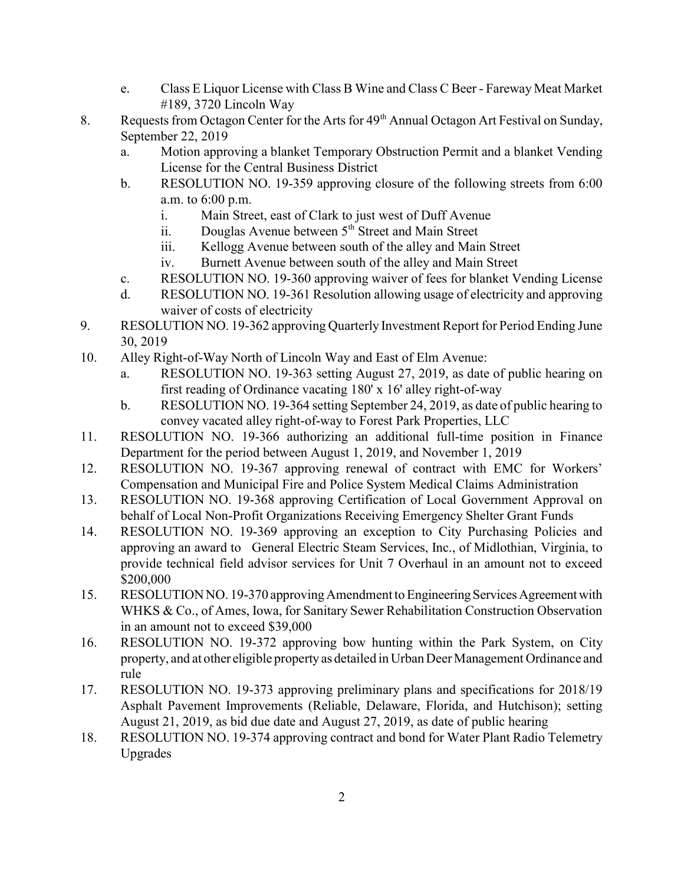- e. Class E Liquor License with Class B Wine and Class C Beer Fareway Meat Market #189, 3720 Lincoln Way
- 8. Requests from Octagon Center for the Arts for  $49<sup>th</sup>$  Annual Octagon Art Festival on Sunday, September 22, 2019
	- a. Motion approving a blanket Temporary Obstruction Permit and a blanket Vending License for the Central Business District
	- b. RESOLUTION NO. 19-359 approving closure of the following streets from 6:00 a.m. to 6:00 p.m.
		- i. Main Street, east of Clark to just west of Duff Avenue
		- ii. Douglas Avenue between  $5<sup>th</sup>$  Street and Main Street
		- iii. Kellogg Avenue between south of the alley and Main Street
		- iv. Burnett Avenue between south of the alley and Main Street
	- c. RESOLUTION NO. 19-360 approving waiver of fees for blanket Vending License
	- d. RESOLUTION NO. 19-361 Resolution allowing usage of electricity and approving waiver of costs of electricity
- 9. RESOLUTION NO. 19-362 approving Quarterly Investment Report for Period Ending June 30, 2019
- 10. Alley Right-of-Way North of Lincoln Way and East of Elm Avenue:
	- a. RESOLUTION NO. 19-363 setting August 27, 2019, as date of public hearing on first reading of Ordinance vacating 180' x 16' alley right-of-way
	- b. RESOLUTION NO. 19-364 setting September 24, 2019, as date of public hearing to convey vacated alley right-of-way to Forest Park Properties, LLC
- 11. RESOLUTION NO. 19-366 authorizing an additional full-time position in Finance Department for the period between August 1, 2019, and November 1, 2019
- 12. RESOLUTION NO. 19-367 approving renewal of contract with EMC for Workers' Compensation and Municipal Fire and Police System Medical Claims Administration
- 13. RESOLUTION NO. 19-368 approving Certification of Local Government Approval on behalf of Local Non-Profit Organizations Receiving Emergency Shelter Grant Funds
- 14. RESOLUTION NO. 19-369 approving an exception to City Purchasing Policies and approving an award to General Electric Steam Services, Inc., of Midlothian, Virginia, to provide technical field advisor services for Unit 7 Overhaul in an amount not to exceed \$200,000
- 15. RESOLUTION NO. 19-370 approving Amendment to Engineering Services Agreement with WHKS & Co., of Ames, Iowa, for Sanitary Sewer Rehabilitation Construction Observation in an amount not to exceed \$39,000
- 16. RESOLUTION NO. 19-372 approving bow hunting within the Park System, on City property, and at other eligible property as detailed in Urban Deer Management Ordinance and rule
- 17. RESOLUTION NO. 19-373 approving preliminary plans and specifications for 2018/19 Asphalt Pavement Improvements (Reliable, Delaware, Florida, and Hutchison); setting August 21, 2019, as bid due date and August 27, 2019, as date of public hearing
- 18. RESOLUTION NO. 19-374 approving contract and bond for Water Plant Radio Telemetry Upgrades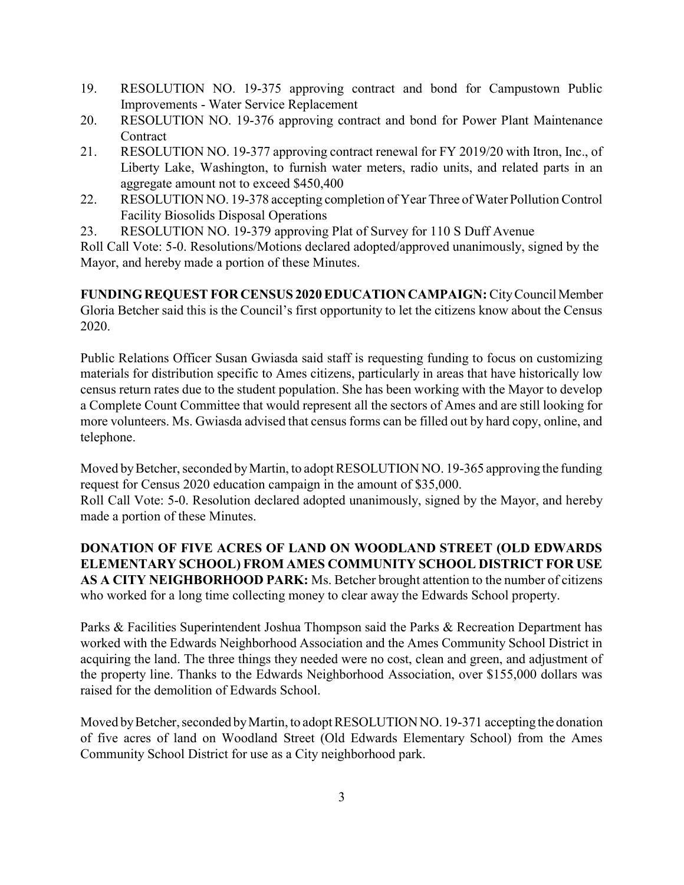- 19. RESOLUTION NO. 19-375 approving contract and bond for Campustown Public Improvements - Water Service Replacement
- 20. RESOLUTION NO. 19-376 approving contract and bond for Power Plant Maintenance Contract
- 21. RESOLUTION NO. 19-377 approving contract renewal for FY 2019/20 with Itron, Inc., of Liberty Lake, Washington, to furnish water meters, radio units, and related parts in an aggregate amount not to exceed \$450,400
- 22. RESOLUTION NO. 19-378 accepting completion of Year Three of Water Pollution Control Facility Biosolids Disposal Operations
- 23. RESOLUTION NO. 19-379 approving Plat of Survey for 110 S Duff Avenue

Roll Call Vote: 5-0. Resolutions/Motions declared adopted/approved unanimously, signed by the Mayor, and hereby made a portion of these Minutes.

FUNDING REQUEST FOR CENSUS 2020 EDUCATION CAMPAIGN: City Council Member Gloria Betcher said this is the Council's first opportunity to let the citizens know about the Census 2020.

Public Relations Officer Susan Gwiasda said staff is requesting funding to focus on customizing materials for distribution specific to Ames citizens, particularly in areas that have historically low census return rates due to the student population. She has been working with the Mayor to develop a Complete Count Committee that would represent all the sectors of Ames and are still looking for more volunteers. Ms. Gwiasda advised that census forms can be filled out by hard copy, online, and telephone.

Moved by Betcher, seconded by Martin, to adopt RESOLUTION NO. 19-365 approving the funding request for Census 2020 education campaign in the amount of \$35,000.

Roll Call Vote: 5-0. Resolution declared adopted unanimously, signed by the Mayor, and hereby made a portion of these Minutes.

DONATION OF FIVE ACRES OF LAND ON WOODLAND STREET (OLD EDWARDS ELEMENTARY SCHOOL) FROM AMES COMMUNITY SCHOOL DISTRICT FOR USE AS A CITY NEIGHBORHOOD PARK: Ms. Betcher brought attention to the number of citizens who worked for a long time collecting money to clear away the Edwards School property.

Parks & Facilities Superintendent Joshua Thompson said the Parks & Recreation Department has worked with the Edwards Neighborhood Association and the Ames Community School District in acquiring the land. The three things they needed were no cost, clean and green, and adjustment of the property line. Thanks to the Edwards Neighborhood Association, over \$155,000 dollars was raised for the demolition of Edwards School.

Moved by Betcher, seconded by Martin, to adopt RESOLUTION NO. 19-371 accepting the donation of five acres of land on Woodland Street (Old Edwards Elementary School) from the Ames Community School District for use as a City neighborhood park.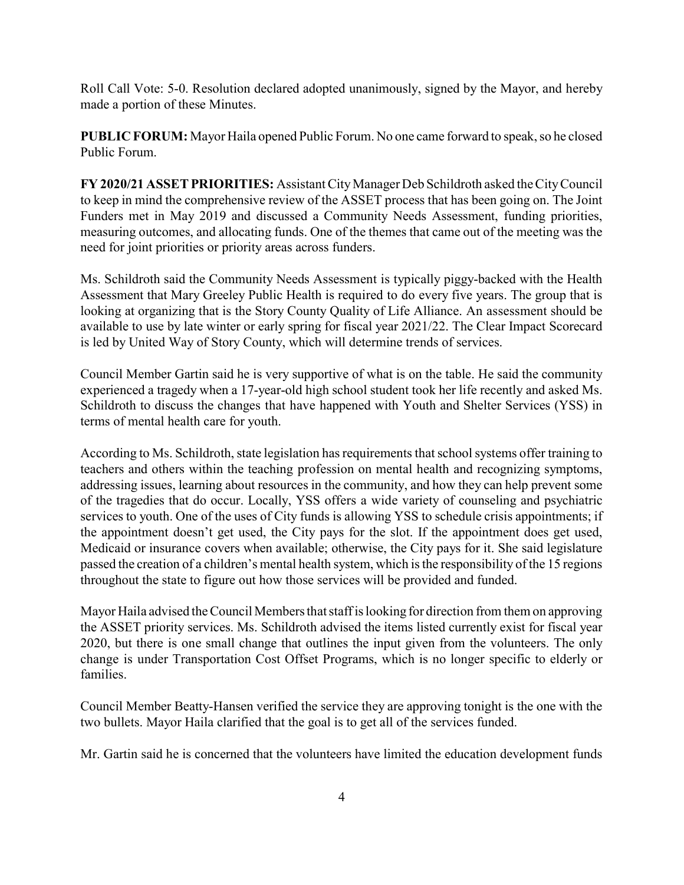Roll Call Vote: 5-0. Resolution declared adopted unanimously, signed by the Mayor, and hereby made a portion of these Minutes.

PUBLIC FORUM: Mayor Haila opened Public Forum. No one came forward to speak, so he closed Public Forum.

FY 2020/21 ASSET PRIORITIES: Assistant City Manager Deb Schildroth asked the City Council to keep in mind the comprehensive review of the ASSET process that has been going on. The Joint Funders met in May 2019 and discussed a Community Needs Assessment, funding priorities, measuring outcomes, and allocating funds. One of the themes that came out of the meeting was the need for joint priorities or priority areas across funders.

Ms. Schildroth said the Community Needs Assessment is typically piggy-backed with the Health Assessment that Mary Greeley Public Health is required to do every five years. The group that is looking at organizing that is the Story County Quality of Life Alliance. An assessment should be available to use by late winter or early spring for fiscal year 2021/22. The Clear Impact Scorecard is led by United Way of Story County, which will determine trends of services.

Council Member Gartin said he is very supportive of what is on the table. He said the community experienced a tragedy when a 17-year-old high school student took her life recently and asked Ms. Schildroth to discuss the changes that have happened with Youth and Shelter Services (YSS) in terms of mental health care for youth.

According to Ms. Schildroth, state legislation has requirements that school systems offer training to teachers and others within the teaching profession on mental health and recognizing symptoms, addressing issues, learning about resources in the community, and how they can help prevent some of the tragedies that do occur. Locally, YSS offers a wide variety of counseling and psychiatric services to youth. One of the uses of City funds is allowing YSS to schedule crisis appointments; if the appointment doesn't get used, the City pays for the slot. If the appointment does get used, Medicaid or insurance covers when available; otherwise, the City pays for it. She said legislature passed the creation of a children's mental health system, which is the responsibility of the 15 regions throughout the state to figure out how those services will be provided and funded.

Mayor Haila advised the Council Members that staff is looking for direction from them on approving the ASSET priority services. Ms. Schildroth advised the items listed currently exist for fiscal year 2020, but there is one small change that outlines the input given from the volunteers. The only change is under Transportation Cost Offset Programs, which is no longer specific to elderly or families.

Council Member Beatty-Hansen verified the service they are approving tonight is the one with the two bullets. Mayor Haila clarified that the goal is to get all of the services funded.

Mr. Gartin said he is concerned that the volunteers have limited the education development funds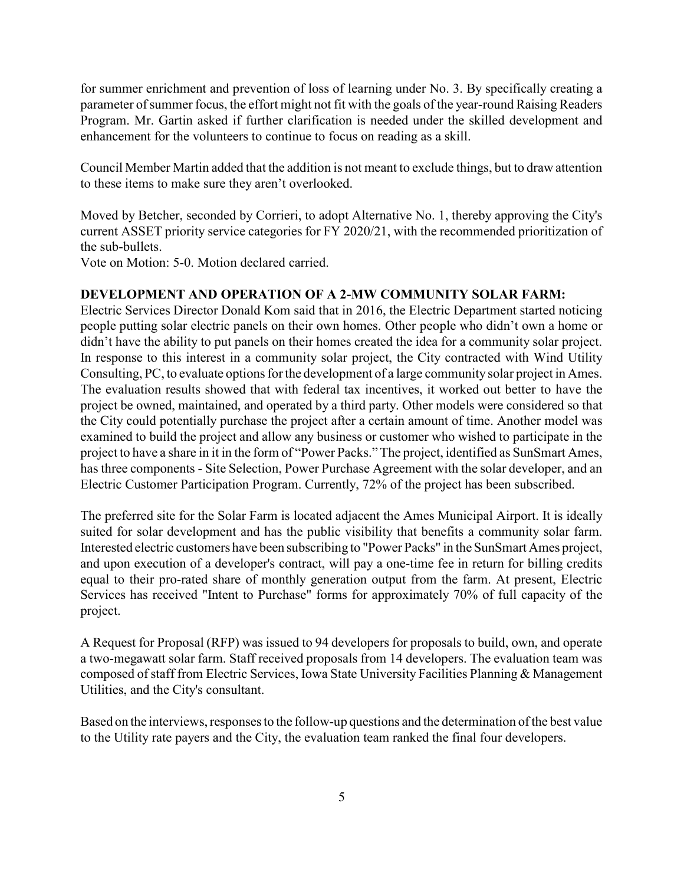for summer enrichment and prevention of loss of learning under No. 3. By specifically creating a parameter of summer focus, the effort might not fit with the goals of the year-round Raising Readers Program. Mr. Gartin asked if further clarification is needed under the skilled development and enhancement for the volunteers to continue to focus on reading as a skill.

Council Member Martin added that the addition is not meant to exclude things, but to draw attention to these items to make sure they aren't overlooked.

Moved by Betcher, seconded by Corrieri, to adopt Alternative No. 1, thereby approving the City's current ASSET priority service categories for FY 2020/21, with the recommended prioritization of the sub-bullets.

Vote on Motion: 5-0. Motion declared carried.

#### DEVELOPMENT AND OPERATION OF A 2-MW COMMUNITY SOLAR FARM:

Electric Services Director Donald Kom said that in 2016, the Electric Department started noticing people putting solar electric panels on their own homes. Other people who didn't own a home or didn't have the ability to put panels on their homes created the idea for a community solar project. In response to this interest in a community solar project, the City contracted with Wind Utility Consulting, PC, to evaluate options for the development of a large community solar project in Ames. The evaluation results showed that with federal tax incentives, it worked out better to have the project be owned, maintained, and operated by a third party. Other models were considered so that the City could potentially purchase the project after a certain amount of time. Another model was examined to build the project and allow any business or customer who wished to participate in the project to have a share in it in the form of "Power Packs." The project, identified as SunSmart Ames, has three components - Site Selection, Power Purchase Agreement with the solar developer, and an Electric Customer Participation Program. Currently, 72% of the project has been subscribed.

The preferred site for the Solar Farm is located adjacent the Ames Municipal Airport. It is ideally suited for solar development and has the public visibility that benefits a community solar farm. Interested electric customers have been subscribing to "Power Packs" in the SunSmart Ames project, and upon execution of a developer's contract, will pay a one-time fee in return for billing credits equal to their pro-rated share of monthly generation output from the farm. At present, Electric Services has received "Intent to Purchase" forms for approximately 70% of full capacity of the project.

A Request for Proposal (RFP) was issued to 94 developers for proposals to build, own, and operate a two-megawatt solar farm. Staff received proposals from 14 developers. The evaluation team was composed of staff from Electric Services, Iowa State University Facilities Planning & Management Utilities, and the City's consultant.

Based on the interviews, responses to the follow-up questions and the determination of the best value to the Utility rate payers and the City, the evaluation team ranked the final four developers.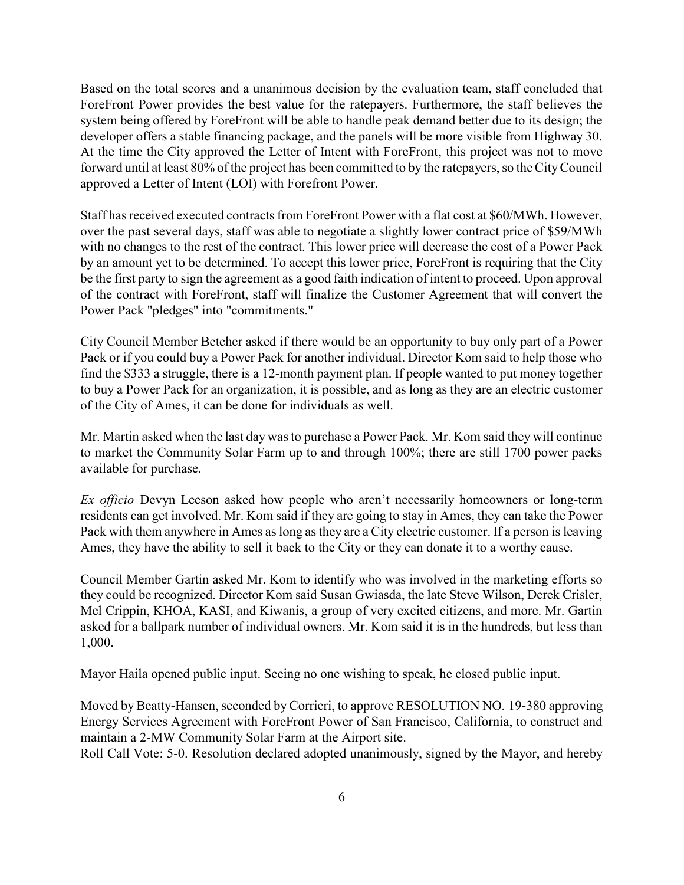Based on the total scores and a unanimous decision by the evaluation team, staff concluded that ForeFront Power provides the best value for the ratepayers. Furthermore, the staff believes the system being offered by ForeFront will be able to handle peak demand better due to its design; the developer offers a stable financing package, and the panels will be more visible from Highway 30. At the time the City approved the Letter of Intent with ForeFront, this project was not to move forward until at least 80% of the project has been committed to by the ratepayers, so the City Council approved a Letter of Intent (LOI) with Forefront Power.

Staff has received executed contracts from ForeFront Power with a flat cost at \$60/MWh. However, over the past several days, staff was able to negotiate a slightly lower contract price of \$59/MWh with no changes to the rest of the contract. This lower price will decrease the cost of a Power Pack by an amount yet to be determined. To accept this lower price, ForeFront is requiring that the City be the first party to sign the agreement as a good faith indication of intent to proceed. Upon approval of the contract with ForeFront, staff will finalize the Customer Agreement that will convert the Power Pack "pledges" into "commitments."

City Council Member Betcher asked if there would be an opportunity to buy only part of a Power Pack or if you could buy a Power Pack for another individual. Director Kom said to help those who find the \$333 a struggle, there is a 12-month payment plan. If people wanted to put money together to buy a Power Pack for an organization, it is possible, and as long as they are an electric customer of the City of Ames, it can be done for individuals as well.

Mr. Martin asked when the last day was to purchase a Power Pack. Mr. Kom said they will continue to market the Community Solar Farm up to and through 100%; there are still 1700 power packs available for purchase.

Ex officio Devyn Leeson asked how people who aren't necessarily homeowners or long-term residents can get involved. Mr. Kom said if they are going to stay in Ames, they can take the Power Pack with them anywhere in Ames as long as they are a City electric customer. If a person is leaving Ames, they have the ability to sell it back to the City or they can donate it to a worthy cause.

Council Member Gartin asked Mr. Kom to identify who was involved in the marketing efforts so they could be recognized. Director Kom said Susan Gwiasda, the late Steve Wilson, Derek Crisler, Mel Crippin, KHOA, KASI, and Kiwanis, a group of very excited citizens, and more. Mr. Gartin asked for a ballpark number of individual owners. Mr. Kom said it is in the hundreds, but less than 1,000.

Mayor Haila opened public input. Seeing no one wishing to speak, he closed public input.

Moved by Beatty-Hansen, seconded by Corrieri, to approve RESOLUTION NO. 19-380 approving Energy Services Agreement with ForeFront Power of San Francisco, California, to construct and maintain a 2-MW Community Solar Farm at the Airport site.

Roll Call Vote: 5-0. Resolution declared adopted unanimously, signed by the Mayor, and hereby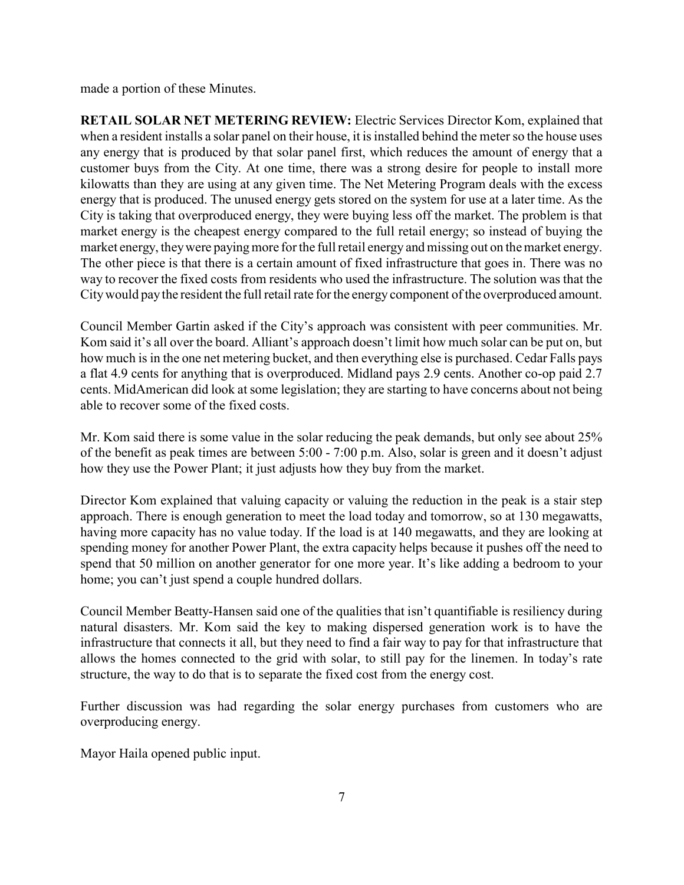made a portion of these Minutes.

RETAIL SOLAR NET METERING REVIEW: Electric Services Director Kom, explained that when a resident installs a solar panel on their house, it is installed behind the meter so the house uses any energy that is produced by that solar panel first, which reduces the amount of energy that a customer buys from the City. At one time, there was a strong desire for people to install more kilowatts than they are using at any given time. The Net Metering Program deals with the excess energy that is produced. The unused energy gets stored on the system for use at a later time. As the City is taking that overproduced energy, they were buying less off the market. The problem is that market energy is the cheapest energy compared to the full retail energy; so instead of buying the market energy, they were paying more for the full retail energy and missing out on the market energy. The other piece is that there is a certain amount of fixed infrastructure that goes in. There was no way to recover the fixed costs from residents who used the infrastructure. The solution was that the City would pay the resident the full retail rate for the energy component of the overproduced amount.

Council Member Gartin asked if the City's approach was consistent with peer communities. Mr. Kom said it's all over the board. Alliant's approach doesn't limit how much solar can be put on, but how much is in the one net metering bucket, and then everything else is purchased. Cedar Falls pays a flat 4.9 cents for anything that is overproduced. Midland pays 2.9 cents. Another co-op paid 2.7 cents. MidAmerican did look at some legislation; they are starting to have concerns about not being able to recover some of the fixed costs.

Mr. Kom said there is some value in the solar reducing the peak demands, but only see about 25% of the benefit as peak times are between 5:00 - 7:00 p.m. Also, solar is green and it doesn't adjust how they use the Power Plant; it just adjusts how they buy from the market.

Director Kom explained that valuing capacity or valuing the reduction in the peak is a stair step approach. There is enough generation to meet the load today and tomorrow, so at 130 megawatts, having more capacity has no value today. If the load is at 140 megawatts, and they are looking at spending money for another Power Plant, the extra capacity helps because it pushes off the need to spend that 50 million on another generator for one more year. It's like adding a bedroom to your home; you can't just spend a couple hundred dollars.

Council Member Beatty-Hansen said one of the qualities that isn't quantifiable is resiliency during natural disasters. Mr. Kom said the key to making dispersed generation work is to have the infrastructure that connects it all, but they need to find a fair way to pay for that infrastructure that allows the homes connected to the grid with solar, to still pay for the linemen. In today's rate structure, the way to do that is to separate the fixed cost from the energy cost.

Further discussion was had regarding the solar energy purchases from customers who are overproducing energy.

Mayor Haila opened public input.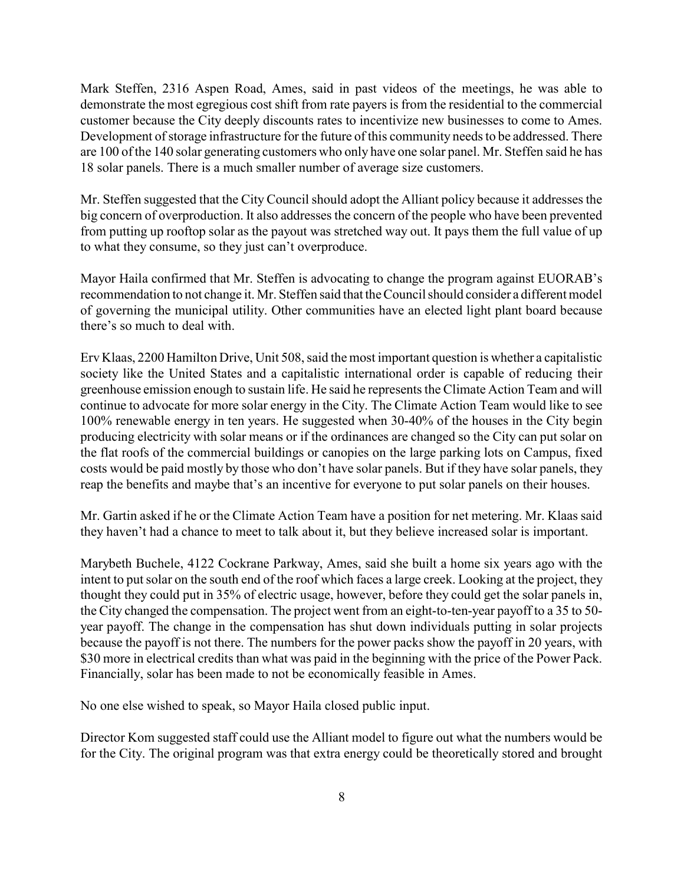Mark Steffen, 2316 Aspen Road, Ames, said in past videos of the meetings, he was able to demonstrate the most egregious cost shift from rate payers is from the residential to the commercial customer because the City deeply discounts rates to incentivize new businesses to come to Ames. Development of storage infrastructure for the future of this community needs to be addressed. There are 100 of the 140 solar generating customers who only have one solar panel. Mr. Steffen said he has 18 solar panels. There is a much smaller number of average size customers.

Mr. Steffen suggested that the City Council should adopt the Alliant policy because it addresses the big concern of overproduction. It also addresses the concern of the people who have been prevented from putting up rooftop solar as the payout was stretched way out. It pays them the full value of up to what they consume, so they just can't overproduce.

Mayor Haila confirmed that Mr. Steffen is advocating to change the program against EUORAB's recommendation to not change it. Mr. Steffen said that the Council should consider a different model of governing the municipal utility. Other communities have an elected light plant board because there's so much to deal with.

Erv Klaas, 2200 Hamilton Drive, Unit 508, said the most important question is whether a capitalistic society like the United States and a capitalistic international order is capable of reducing their greenhouse emission enough to sustain life. He said he represents the Climate Action Team and will continue to advocate for more solar energy in the City. The Climate Action Team would like to see 100% renewable energy in ten years. He suggested when 30-40% of the houses in the City begin producing electricity with solar means or if the ordinances are changed so the City can put solar on the flat roofs of the commercial buildings or canopies on the large parking lots on Campus, fixed costs would be paid mostly by those who don't have solar panels. But if they have solar panels, they reap the benefits and maybe that's an incentive for everyone to put solar panels on their houses.

Mr. Gartin asked if he or the Climate Action Team have a position for net metering. Mr. Klaas said they haven't had a chance to meet to talk about it, but they believe increased solar is important.

Marybeth Buchele, 4122 Cockrane Parkway, Ames, said she built a home six years ago with the intent to put solar on the south end of the roof which faces a large creek. Looking at the project, they thought they could put in 35% of electric usage, however, before they could get the solar panels in, the City changed the compensation. The project went from an eight-to-ten-year payoff to a 35 to 50 year payoff. The change in the compensation has shut down individuals putting in solar projects because the payoff is not there. The numbers for the power packs show the payoff in 20 years, with \$30 more in electrical credits than what was paid in the beginning with the price of the Power Pack. Financially, solar has been made to not be economically feasible in Ames.

No one else wished to speak, so Mayor Haila closed public input.

Director Kom suggested staff could use the Alliant model to figure out what the numbers would be for the City. The original program was that extra energy could be theoretically stored and brought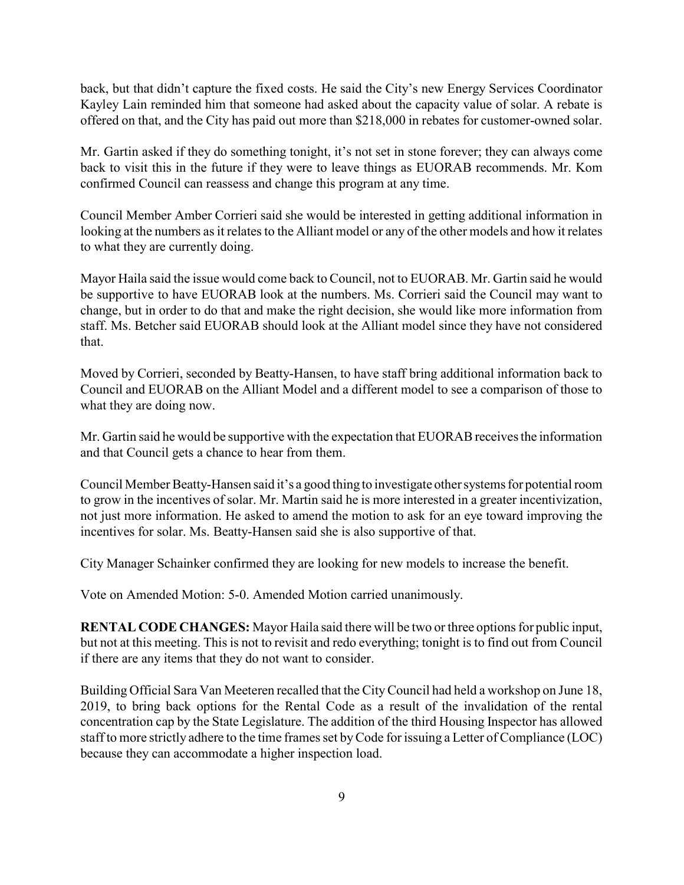back, but that didn't capture the fixed costs. He said the City's new Energy Services Coordinator Kayley Lain reminded him that someone had asked about the capacity value of solar. A rebate is offered on that, and the City has paid out more than \$218,000 in rebates for customer-owned solar.

Mr. Gartin asked if they do something tonight, it's not set in stone forever; they can always come back to visit this in the future if they were to leave things as EUORAB recommends. Mr. Kom confirmed Council can reassess and change this program at any time.

Council Member Amber Corrieri said she would be interested in getting additional information in looking at the numbers as it relates to the Alliant model or any of the other models and how it relates to what they are currently doing.

Mayor Haila said the issue would come back to Council, not to EUORAB. Mr. Gartin said he would be supportive to have EUORAB look at the numbers. Ms. Corrieri said the Council may want to change, but in order to do that and make the right decision, she would like more information from staff. Ms. Betcher said EUORAB should look at the Alliant model since they have not considered that.

Moved by Corrieri, seconded by Beatty-Hansen, to have staff bring additional information back to Council and EUORAB on the Alliant Model and a different model to see a comparison of those to what they are doing now.

Mr. Gartin said he would be supportive with the expectation that EUORAB receives the information and that Council gets a chance to hear from them.

Council Member Beatty-Hansen said it's a good thing to investigate other systems for potential room to grow in the incentives of solar. Mr. Martin said he is more interested in a greater incentivization, not just more information. He asked to amend the motion to ask for an eye toward improving the incentives for solar. Ms. Beatty-Hansen said she is also supportive of that.

City Manager Schainker confirmed they are looking for new models to increase the benefit.

Vote on Amended Motion: 5-0. Amended Motion carried unanimously.

RENTAL CODE CHANGES: Mayor Haila said there will be two or three options for public input, but not at this meeting. This is not to revisit and redo everything; tonight is to find out from Council if there are any items that they do not want to consider.

Building Official Sara Van Meeteren recalled that the City Council had held a workshop on June 18, 2019, to bring back options for the Rental Code as a result of the invalidation of the rental concentration cap by the State Legislature. The addition of the third Housing Inspector has allowed staff to more strictly adhere to the time frames set by Code for issuing a Letter of Compliance (LOC) because they can accommodate a higher inspection load.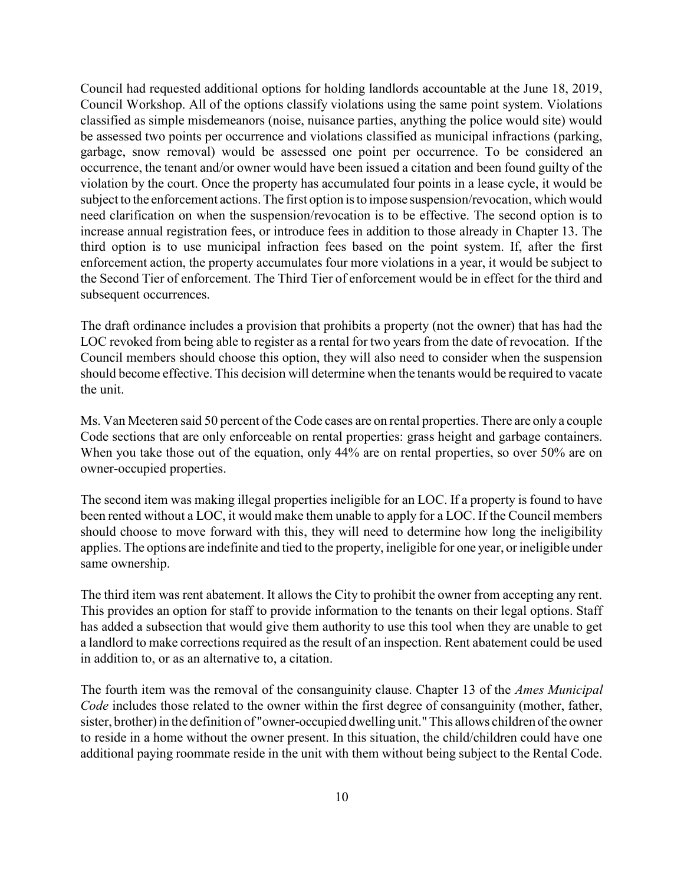Council had requested additional options for holding landlords accountable at the June 18, 2019, Council Workshop. All of the options classify violations using the same point system. Violations classified as simple misdemeanors (noise, nuisance parties, anything the police would site) would be assessed two points per occurrence and violations classified as municipal infractions (parking, garbage, snow removal) would be assessed one point per occurrence. To be considered an occurrence, the tenant and/or owner would have been issued a citation and been found guilty of the violation by the court. Once the property has accumulated four points in a lease cycle, it would be subject to the enforcement actions. The first option is to impose suspension/revocation, which would need clarification on when the suspension/revocation is to be effective. The second option is to increase annual registration fees, or introduce fees in addition to those already in Chapter 13. The third option is to use municipal infraction fees based on the point system. If, after the first enforcement action, the property accumulates four more violations in a year, it would be subject to the Second Tier of enforcement. The Third Tier of enforcement would be in effect for the third and subsequent occurrences.

The draft ordinance includes a provision that prohibits a property (not the owner) that has had the LOC revoked from being able to register as a rental for two years from the date of revocation. If the Council members should choose this option, they will also need to consider when the suspension should become effective. This decision will determine when the tenants would be required to vacate the unit.

Ms. Van Meeteren said 50 percent of the Code cases are on rental properties. There are only a couple Code sections that are only enforceable on rental properties: grass height and garbage containers. When you take those out of the equation, only 44% are on rental properties, so over 50% are on owner-occupied properties.

The second item was making illegal properties ineligible for an LOC. If a property is found to have been rented without a LOC, it would make them unable to apply for a LOC. If the Council members should choose to move forward with this, they will need to determine how long the ineligibility applies. The options are indefinite and tied to the property, ineligible for one year, or ineligible under same ownership.

The third item was rent abatement. It allows the City to prohibit the owner from accepting any rent. This provides an option for staff to provide information to the tenants on their legal options. Staff has added a subsection that would give them authority to use this tool when they are unable to get a landlord to make corrections required as the result of an inspection. Rent abatement could be used in addition to, or as an alternative to, a citation.

The fourth item was the removal of the consanguinity clause. Chapter 13 of the Ames Municipal Code includes those related to the owner within the first degree of consanguinity (mother, father, sister, brother) in the definition of "owner-occupied dwelling unit." This allows children of the owner to reside in a home without the owner present. In this situation, the child/children could have one additional paying roommate reside in the unit with them without being subject to the Rental Code.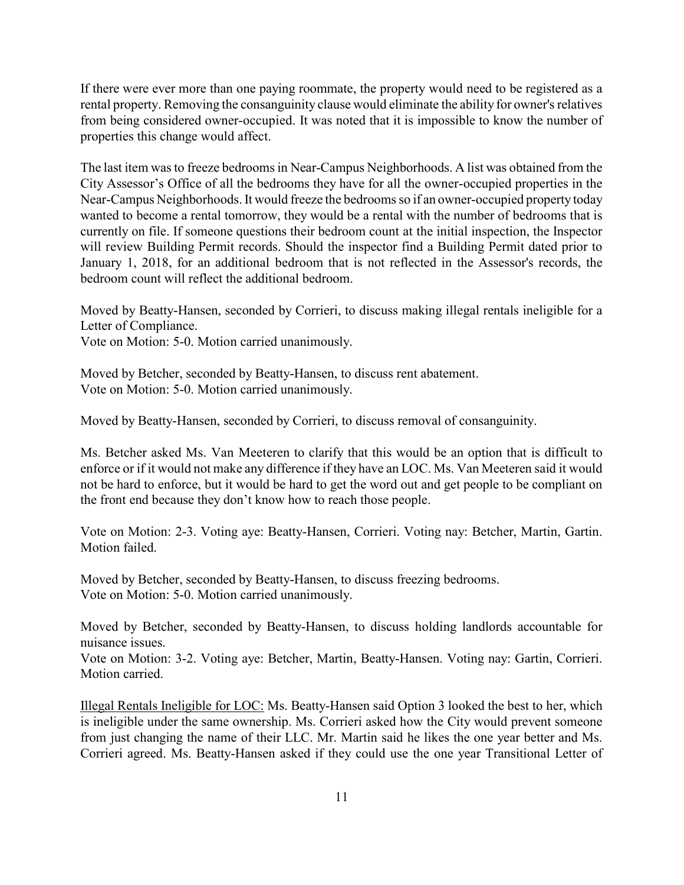If there were ever more than one paying roommate, the property would need to be registered as a rental property. Removing the consanguinity clause would eliminate the ability for owner's relatives from being considered owner-occupied. It was noted that it is impossible to know the number of properties this change would affect.

The last item was to freeze bedrooms in Near-Campus Neighborhoods. A list was obtained from the City Assessor's Office of all the bedrooms they have for all the owner-occupied properties in the Near-Campus Neighborhoods. It would freeze the bedrooms so if an owner-occupied property today wanted to become a rental tomorrow, they would be a rental with the number of bedrooms that is currently on file. If someone questions their bedroom count at the initial inspection, the Inspector will review Building Permit records. Should the inspector find a Building Permit dated prior to January 1, 2018, for an additional bedroom that is not reflected in the Assessor's records, the bedroom count will reflect the additional bedroom.

Moved by Beatty-Hansen, seconded by Corrieri, to discuss making illegal rentals ineligible for a Letter of Compliance.

Vote on Motion: 5-0. Motion carried unanimously.

Moved by Betcher, seconded by Beatty-Hansen, to discuss rent abatement. Vote on Motion: 5-0. Motion carried unanimously.

Moved by Beatty-Hansen, seconded by Corrieri, to discuss removal of consanguinity.

Ms. Betcher asked Ms. Van Meeteren to clarify that this would be an option that is difficult to enforce or if it would not make any difference if they have an LOC. Ms. Van Meeteren said it would not be hard to enforce, but it would be hard to get the word out and get people to be compliant on the front end because they don't know how to reach those people.

Vote on Motion: 2-3. Voting aye: Beatty-Hansen, Corrieri. Voting nay: Betcher, Martin, Gartin. Motion failed.

Moved by Betcher, seconded by Beatty-Hansen, to discuss freezing bedrooms. Vote on Motion: 5-0. Motion carried unanimously.

Moved by Betcher, seconded by Beatty-Hansen, to discuss holding landlords accountable for nuisance issues.

Vote on Motion: 3-2. Voting aye: Betcher, Martin, Beatty-Hansen. Voting nay: Gartin, Corrieri. Motion carried.

Illegal Rentals Ineligible for LOC: Ms. Beatty-Hansen said Option 3 looked the best to her, which is ineligible under the same ownership. Ms. Corrieri asked how the City would prevent someone from just changing the name of their LLC. Mr. Martin said he likes the one year better and Ms. Corrieri agreed. Ms. Beatty-Hansen asked if they could use the one year Transitional Letter of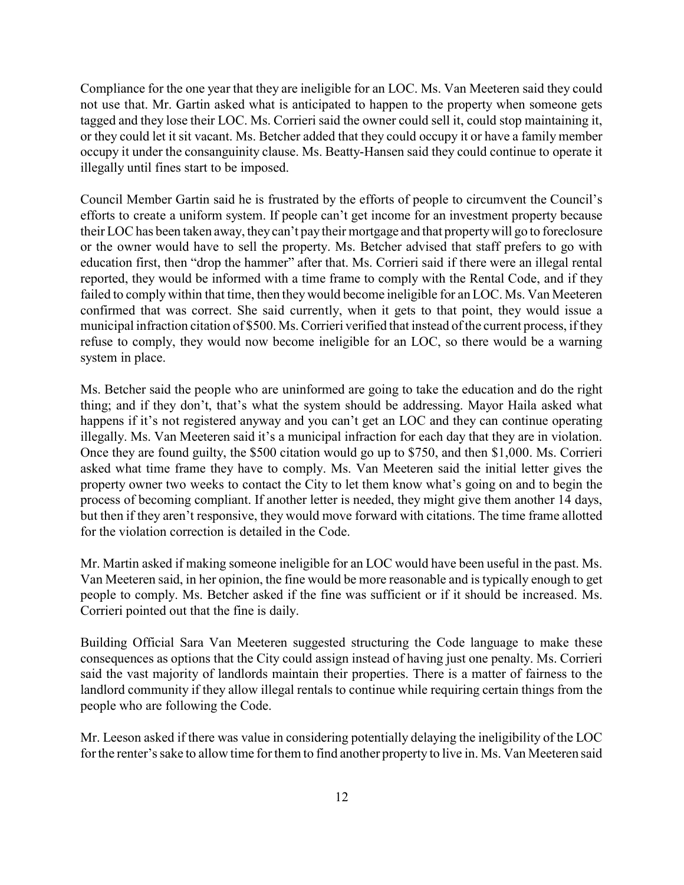Compliance for the one year that they are ineligible for an LOC. Ms. Van Meeteren said they could not use that. Mr. Gartin asked what is anticipated to happen to the property when someone gets tagged and they lose their LOC. Ms. Corrieri said the owner could sell it, could stop maintaining it, or they could let it sit vacant. Ms. Betcher added that they could occupy it or have a family member occupy it under the consanguinity clause. Ms. Beatty-Hansen said they could continue to operate it illegally until fines start to be imposed.

Council Member Gartin said he is frustrated by the efforts of people to circumvent the Council's efforts to create a uniform system. If people can't get income for an investment property because their LOC has been taken away, they can't pay their mortgage and that property will go to foreclosure or the owner would have to sell the property. Ms. Betcher advised that staff prefers to go with education first, then "drop the hammer" after that. Ms. Corrieri said if there were an illegal rental reported, they would be informed with a time frame to comply with the Rental Code, and if they failed to comply within that time, then they would become ineligible for an LOC. Ms. Van Meeteren confirmed that was correct. She said currently, when it gets to that point, they would issue a municipal infraction citation of \$500. Ms. Corrieri verified that instead of the current process, if they refuse to comply, they would now become ineligible for an LOC, so there would be a warning system in place.

Ms. Betcher said the people who are uninformed are going to take the education and do the right thing; and if they don't, that's what the system should be addressing. Mayor Haila asked what happens if it's not registered anyway and you can't get an LOC and they can continue operating illegally. Ms. Van Meeteren said it's a municipal infraction for each day that they are in violation. Once they are found guilty, the \$500 citation would go up to \$750, and then \$1,000. Ms. Corrieri asked what time frame they have to comply. Ms. Van Meeteren said the initial letter gives the property owner two weeks to contact the City to let them know what's going on and to begin the process of becoming compliant. If another letter is needed, they might give them another 14 days, but then if they aren't responsive, they would move forward with citations. The time frame allotted for the violation correction is detailed in the Code.

Mr. Martin asked if making someone ineligible for an LOC would have been useful in the past. Ms. Van Meeteren said, in her opinion, the fine would be more reasonable and is typically enough to get people to comply. Ms. Betcher asked if the fine was sufficient or if it should be increased. Ms. Corrieri pointed out that the fine is daily.

Building Official Sara Van Meeteren suggested structuring the Code language to make these consequences as options that the City could assign instead of having just one penalty. Ms. Corrieri said the vast majority of landlords maintain their properties. There is a matter of fairness to the landlord community if they allow illegal rentals to continue while requiring certain things from the people who are following the Code.

Mr. Leeson asked if there was value in considering potentially delaying the ineligibility of the LOC for the renter's sake to allow time for them to find another property to live in. Ms. Van Meeteren said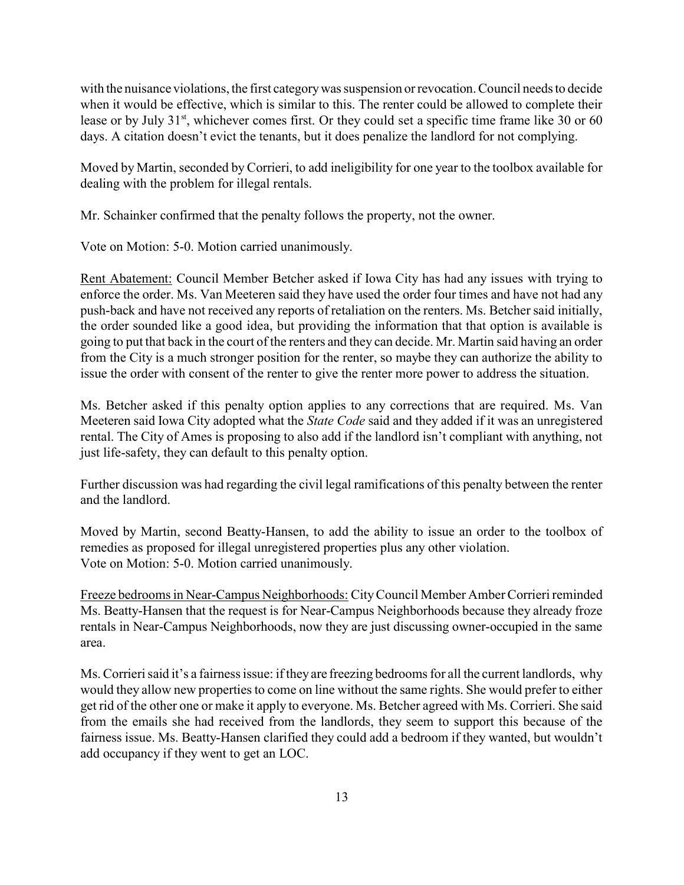with the nuisance violations, the first category was suspension or revocation. Council needs to decide when it would be effective, which is similar to this. The renter could be allowed to complete their lease or by July  $31<sup>st</sup>$ , whichever comes first. Or they could set a specific time frame like 30 or 60 days. A citation doesn't evict the tenants, but it does penalize the landlord for not complying.

Moved by Martin, seconded by Corrieri, to add ineligibility for one year to the toolbox available for dealing with the problem for illegal rentals.

Mr. Schainker confirmed that the penalty follows the property, not the owner.

Vote on Motion: 5-0. Motion carried unanimously.

Rent Abatement: Council Member Betcher asked if Iowa City has had any issues with trying to enforce the order. Ms. Van Meeteren said they have used the order four times and have not had any push-back and have not received any reports of retaliation on the renters. Ms. Betcher said initially, the order sounded like a good idea, but providing the information that that option is available is going to put that back in the court of the renters and they can decide. Mr. Martin said having an order from the City is a much stronger position for the renter, so maybe they can authorize the ability to issue the order with consent of the renter to give the renter more power to address the situation.

Ms. Betcher asked if this penalty option applies to any corrections that are required. Ms. Van Meeteren said Iowa City adopted what the State Code said and they added if it was an unregistered rental. The City of Ames is proposing to also add if the landlord isn't compliant with anything, not just life-safety, they can default to this penalty option.

Further discussion was had regarding the civil legal ramifications of this penalty between the renter and the landlord.

Moved by Martin, second Beatty-Hansen, to add the ability to issue an order to the toolbox of remedies as proposed for illegal unregistered properties plus any other violation. Vote on Motion: 5-0. Motion carried unanimously.

Freeze bedrooms in Near-Campus Neighborhoods: City Council Member Amber Corrieri reminded Ms. Beatty-Hansen that the request is for Near-Campus Neighborhoods because they already froze rentals in Near-Campus Neighborhoods, now they are just discussing owner-occupied in the same area.

Ms. Corrieri said it's a fairness issue: if they are freezing bedrooms for all the current landlords, why would they allow new properties to come on line without the same rights. She would prefer to either get rid of the other one or make it apply to everyone. Ms. Betcher agreed with Ms. Corrieri. She said from the emails she had received from the landlords, they seem to support this because of the fairness issue. Ms. Beatty-Hansen clarified they could add a bedroom if they wanted, but wouldn't add occupancy if they went to get an LOC.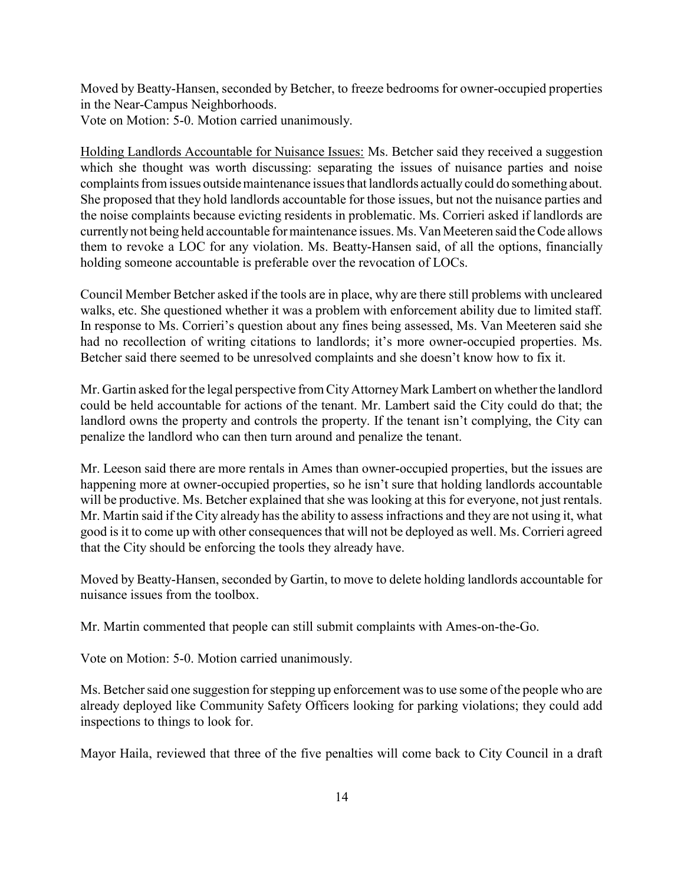Moved by Beatty-Hansen, seconded by Betcher, to freeze bedrooms for owner-occupied properties in the Near-Campus Neighborhoods.

Vote on Motion: 5-0. Motion carried unanimously.

Holding Landlords Accountable for Nuisance Issues: Ms. Betcher said they received a suggestion which she thought was worth discussing: separating the issues of nuisance parties and noise complaints from issues outside maintenance issues that landlords actually could do something about. She proposed that they hold landlords accountable for those issues, but not the nuisance parties and the noise complaints because evicting residents in problematic. Ms. Corrieri asked if landlords are currently not being held accountable for maintenance issues. Ms. Van Meeteren said the Code allows them to revoke a LOC for any violation. Ms. Beatty-Hansen said, of all the options, financially holding someone accountable is preferable over the revocation of LOCs.

Council Member Betcher asked if the tools are in place, why are there still problems with uncleared walks, etc. She questioned whether it was a problem with enforcement ability due to limited staff. In response to Ms. Corrieri's question about any fines being assessed, Ms. Van Meeteren said she had no recollection of writing citations to landlords; it's more owner-occupied properties. Ms. Betcher said there seemed to be unresolved complaints and she doesn't know how to fix it.

Mr. Gartin asked for the legal perspective from City Attorney Mark Lambert on whether the landlord could be held accountable for actions of the tenant. Mr. Lambert said the City could do that; the landlord owns the property and controls the property. If the tenant isn't complying, the City can penalize the landlord who can then turn around and penalize the tenant.

Mr. Leeson said there are more rentals in Ames than owner-occupied properties, but the issues are happening more at owner-occupied properties, so he isn't sure that holding landlords accountable will be productive. Ms. Betcher explained that she was looking at this for everyone, not just rentals. Mr. Martin said if the City already has the ability to assess infractions and they are not using it, what good is it to come up with other consequences that will not be deployed as well. Ms. Corrieri agreed that the City should be enforcing the tools they already have.

Moved by Beatty-Hansen, seconded by Gartin, to move to delete holding landlords accountable for nuisance issues from the toolbox.

Mr. Martin commented that people can still submit complaints with Ames-on-the-Go.

Vote on Motion: 5-0. Motion carried unanimously.

Ms. Betcher said one suggestion for stepping up enforcement was to use some of the people who are already deployed like Community Safety Officers looking for parking violations; they could add inspections to things to look for.

Mayor Haila, reviewed that three of the five penalties will come back to City Council in a draft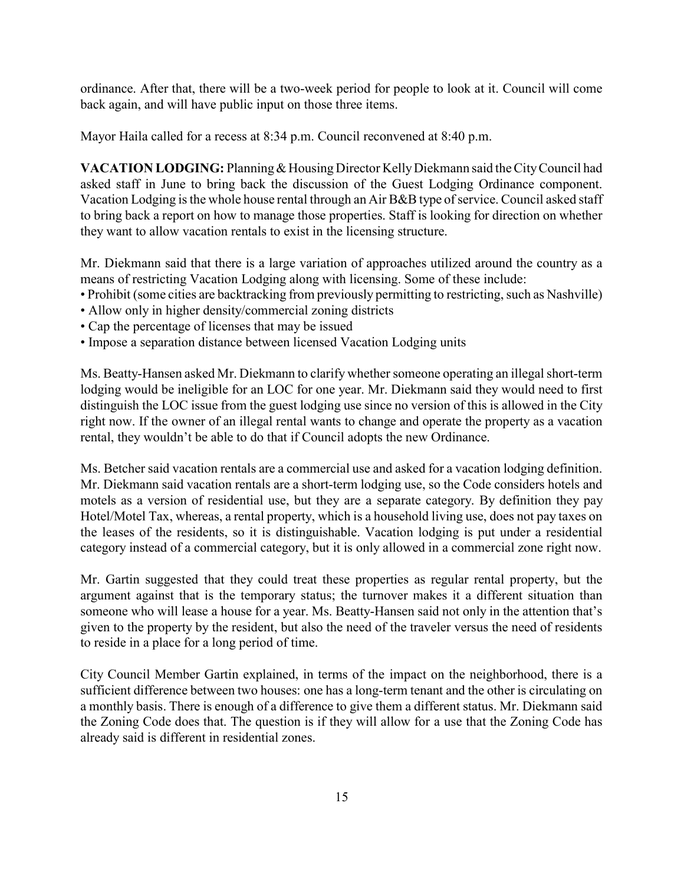ordinance. After that, there will be a two-week period for people to look at it. Council will come back again, and will have public input on those three items.

Mayor Haila called for a recess at 8:34 p.m. Council reconvened at 8:40 p.m.

VACATION LODGING: Planning & Housing Director Kelly Diekmann said the City Council had asked staff in June to bring back the discussion of the Guest Lodging Ordinance component. Vacation Lodging is the whole house rental through an Air B&B type of service. Council asked staff to bring back a report on how to manage those properties. Staff is looking for direction on whether they want to allow vacation rentals to exist in the licensing structure.

Mr. Diekmann said that there is a large variation of approaches utilized around the country as a means of restricting Vacation Lodging along with licensing. Some of these include:

- Prohibit (some cities are backtracking from previously permitting to restricting, such as Nashville)
- Allow only in higher density/commercial zoning districts
- Cap the percentage of licenses that may be issued
- Impose a separation distance between licensed Vacation Lodging units

Ms. Beatty-Hansen asked Mr. Diekmann to clarify whether someone operating an illegal short-term lodging would be ineligible for an LOC for one year. Mr. Diekmann said they would need to first distinguish the LOC issue from the guest lodging use since no version of this is allowed in the City right now. If the owner of an illegal rental wants to change and operate the property as a vacation rental, they wouldn't be able to do that if Council adopts the new Ordinance.

Ms. Betcher said vacation rentals are a commercial use and asked for a vacation lodging definition. Mr. Diekmann said vacation rentals are a short-term lodging use, so the Code considers hotels and motels as a version of residential use, but they are a separate category. By definition they pay Hotel/Motel Tax, whereas, a rental property, which is a household living use, does not pay taxes on the leases of the residents, so it is distinguishable. Vacation lodging is put under a residential category instead of a commercial category, but it is only allowed in a commercial zone right now.

Mr. Gartin suggested that they could treat these properties as regular rental property, but the argument against that is the temporary status; the turnover makes it a different situation than someone who will lease a house for a year. Ms. Beatty-Hansen said not only in the attention that's given to the property by the resident, but also the need of the traveler versus the need of residents to reside in a place for a long period of time.

City Council Member Gartin explained, in terms of the impact on the neighborhood, there is a sufficient difference between two houses: one has a long-term tenant and the other is circulating on a monthly basis. There is enough of a difference to give them a different status. Mr. Diekmann said the Zoning Code does that. The question is if they will allow for a use that the Zoning Code has already said is different in residential zones.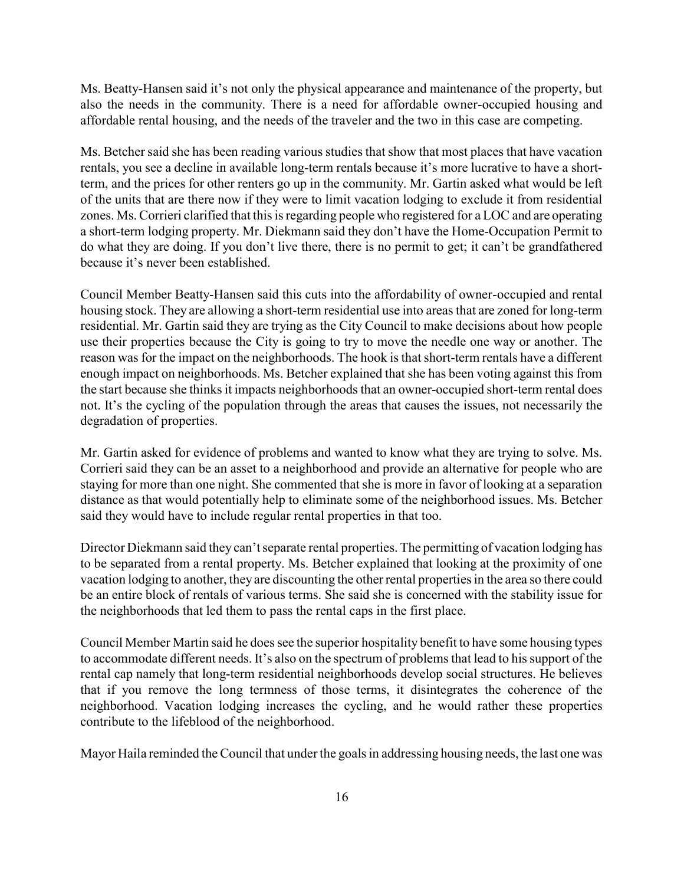Ms. Beatty-Hansen said it's not only the physical appearance and maintenance of the property, but also the needs in the community. There is a need for affordable owner-occupied housing and affordable rental housing, and the needs of the traveler and the two in this case are competing.

Ms. Betcher said she has been reading various studies that show that most places that have vacation rentals, you see a decline in available long-term rentals because it's more lucrative to have a shortterm, and the prices for other renters go up in the community. Mr. Gartin asked what would be left of the units that are there now if they were to limit vacation lodging to exclude it from residential zones. Ms. Corrieri clarified that this is regarding people who registered for a LOC and are operating a short-term lodging property. Mr. Diekmann said they don't have the Home-Occupation Permit to do what they are doing. If you don't live there, there is no permit to get; it can't be grandfathered because it's never been established.

Council Member Beatty-Hansen said this cuts into the affordability of owner-occupied and rental housing stock. They are allowing a short-term residential use into areas that are zoned for long-term residential. Mr. Gartin said they are trying as the City Council to make decisions about how people use their properties because the City is going to try to move the needle one way or another. The reason was for the impact on the neighborhoods. The hook is that short-term rentals have a different enough impact on neighborhoods. Ms. Betcher explained that she has been voting against this from the start because she thinks it impacts neighborhoods that an owner-occupied short-term rental does not. It's the cycling of the population through the areas that causes the issues, not necessarily the degradation of properties.

Mr. Gartin asked for evidence of problems and wanted to know what they are trying to solve. Ms. Corrieri said they can be an asset to a neighborhood and provide an alternative for people who are staying for more than one night. She commented that she is more in favor of looking at a separation distance as that would potentially help to eliminate some of the neighborhood issues. Ms. Betcher said they would have to include regular rental properties in that too.

Director Diekmann said they can't separate rental properties. The permitting of vacation lodging has to be separated from a rental property. Ms. Betcher explained that looking at the proximity of one vacation lodging to another, they are discounting the other rental properties in the area so there could be an entire block of rentals of various terms. She said she is concerned with the stability issue for the neighborhoods that led them to pass the rental caps in the first place.

Council Member Martin said he does see the superior hospitality benefit to have some housing types to accommodate different needs. It's also on the spectrum of problems that lead to his support of the rental cap namely that long-term residential neighborhoods develop social structures. He believes that if you remove the long termness of those terms, it disintegrates the coherence of the neighborhood. Vacation lodging increases the cycling, and he would rather these properties contribute to the lifeblood of the neighborhood.

Mayor Haila reminded the Council that under the goals in addressing housing needs, the last one was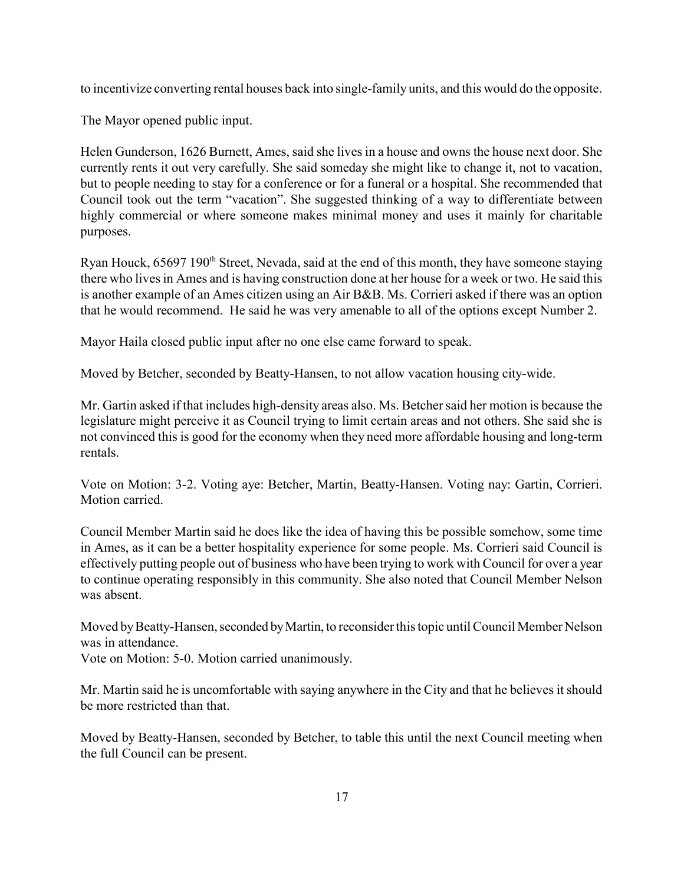to incentivize converting rental houses back into single-family units, and this would do the opposite.

The Mayor opened public input.

Helen Gunderson, 1626 Burnett, Ames, said she lives in a house and owns the house next door. She currently rents it out very carefully. She said someday she might like to change it, not to vacation, but to people needing to stay for a conference or for a funeral or a hospital. She recommended that Council took out the term "vacation". She suggested thinking of a way to differentiate between highly commercial or where someone makes minimal money and uses it mainly for charitable purposes.

Ryan Houck, 65697 190<sup>th</sup> Street, Nevada, said at the end of this month, they have someone staying there who lives in Ames and is having construction done at her house for a week or two. He said this is another example of an Ames citizen using an Air B&B. Ms. Corrieri asked if there was an option that he would recommend. He said he was very amenable to all of the options except Number 2.

Mayor Haila closed public input after no one else came forward to speak.

Moved by Betcher, seconded by Beatty-Hansen, to not allow vacation housing city-wide.

Mr. Gartin asked if that includes high-density areas also. Ms. Betcher said her motion is because the legislature might perceive it as Council trying to limit certain areas and not others. She said she is not convinced this is good for the economy when they need more affordable housing and long-term rentals.

Vote on Motion: 3-2. Voting aye: Betcher, Martin, Beatty-Hansen. Voting nay: Gartin, Corrieri. Motion carried.

Council Member Martin said he does like the idea of having this be possible somehow, some time in Ames, as it can be a better hospitality experience for some people. Ms. Corrieri said Council is effectively putting people out of business who have been trying to work with Council for over a year to continue operating responsibly in this community. She also noted that Council Member Nelson was absent.

Moved by Beatty-Hansen, seconded by Martin, to reconsider this topic until Council Member Nelson was in attendance.

Vote on Motion: 5-0. Motion carried unanimously.

Mr. Martin said he is uncomfortable with saying anywhere in the City and that he believes it should be more restricted than that.

Moved by Beatty-Hansen, seconded by Betcher, to table this until the next Council meeting when the full Council can be present.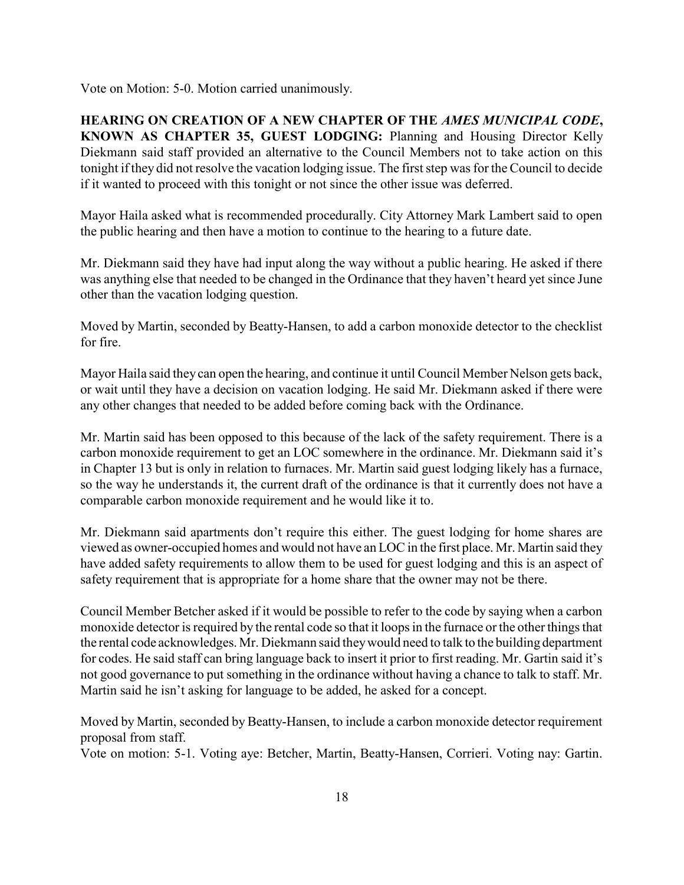Vote on Motion: 5-0. Motion carried unanimously.

HEARING ON CREATION OF A NEW CHAPTER OF THE AMES MUNICIPAL CODE, KNOWN AS CHAPTER 35, GUEST LODGING: Planning and Housing Director Kelly Diekmann said staff provided an alternative to the Council Members not to take action on this tonight if they did not resolve the vacation lodging issue. The first step was for the Council to decide if it wanted to proceed with this tonight or not since the other issue was deferred.

Mayor Haila asked what is recommended procedurally. City Attorney Mark Lambert said to open the public hearing and then have a motion to continue to the hearing to a future date.

Mr. Diekmann said they have had input along the way without a public hearing. He asked if there was anything else that needed to be changed in the Ordinance that they haven't heard yet since June other than the vacation lodging question.

Moved by Martin, seconded by Beatty-Hansen, to add a carbon monoxide detector to the checklist for fire.

Mayor Haila said they can open the hearing, and continue it until Council Member Nelson gets back, or wait until they have a decision on vacation lodging. He said Mr. Diekmann asked if there were any other changes that needed to be added before coming back with the Ordinance.

Mr. Martin said has been opposed to this because of the lack of the safety requirement. There is a carbon monoxide requirement to get an LOC somewhere in the ordinance. Mr. Diekmann said it's in Chapter 13 but is only in relation to furnaces. Mr. Martin said guest lodging likely has a furnace, so the way he understands it, the current draft of the ordinance is that it currently does not have a comparable carbon monoxide requirement and he would like it to.

Mr. Diekmann said apartments don't require this either. The guest lodging for home shares are viewed as owner-occupied homes and would not have an LOC in the first place. Mr. Martin said they have added safety requirements to allow them to be used for guest lodging and this is an aspect of safety requirement that is appropriate for a home share that the owner may not be there.

Council Member Betcher asked if it would be possible to refer to the code by saying when a carbon monoxide detector is required by the rental code so that it loops in the furnace or the other things that the rental code acknowledges. Mr. Diekmann said they would need to talk to the building department for codes. He said staff can bring language back to insert it prior to first reading. Mr. Gartin said it's not good governance to put something in the ordinance without having a chance to talk to staff. Mr. Martin said he isn't asking for language to be added, he asked for a concept.

Moved by Martin, seconded by Beatty-Hansen, to include a carbon monoxide detector requirement proposal from staff.

Vote on motion: 5-1. Voting aye: Betcher, Martin, Beatty-Hansen, Corrieri. Voting nay: Gartin.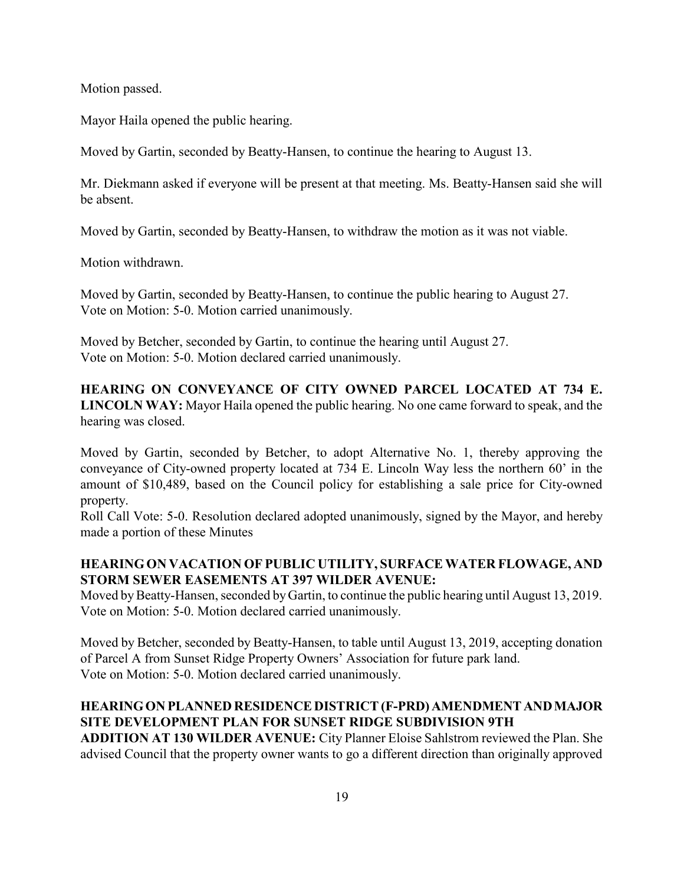Motion passed.

Mayor Haila opened the public hearing.

Moved by Gartin, seconded by Beatty-Hansen, to continue the hearing to August 13.

Mr. Diekmann asked if everyone will be present at that meeting. Ms. Beatty-Hansen said she will be absent.

Moved by Gartin, seconded by Beatty-Hansen, to withdraw the motion as it was not viable.

Motion withdrawn.

Moved by Gartin, seconded by Beatty-Hansen, to continue the public hearing to August 27. Vote on Motion: 5-0. Motion carried unanimously.

Moved by Betcher, seconded by Gartin, to continue the hearing until August 27. Vote on Motion: 5-0. Motion declared carried unanimously.

HEARING ON CONVEYANCE OF CITY OWNED PARCEL LOCATED AT 734 E. LINCOLN WAY: Mayor Haila opened the public hearing. No one came forward to speak, and the hearing was closed.

Moved by Gartin, seconded by Betcher, to adopt Alternative No. 1, thereby approving the conveyance of City-owned property located at 734 E. Lincoln Way less the northern 60' in the amount of \$10,489, based on the Council policy for establishing a sale price for City-owned property.

Roll Call Vote: 5-0. Resolution declared adopted unanimously, signed by the Mayor, and hereby made a portion of these Minutes

## HEARING ON VACATION OF PUBLIC UTILITY, SURFACE WATER FLOWAGE, AND STORM SEWER EASEMENTS AT 397 WILDER AVENUE:

Moved by Beatty-Hansen, seconded by Gartin, to continue the public hearing until August 13, 2019. Vote on Motion: 5-0. Motion declared carried unanimously.

Moved by Betcher, seconded by Beatty-Hansen, to table until August 13, 2019, accepting donation of Parcel A from Sunset Ridge Property Owners' Association for future park land. Vote on Motion: 5-0. Motion declared carried unanimously.

### HEARING ON PLANNED RESIDENCE DISTRICT (F-PRD) AMENDMENT AND MAJOR SITE DEVELOPMENT PLAN FOR SUNSET RIDGE SUBDIVISION 9TH

ADDITION AT 130 WILDER AVENUE: City Planner Eloise Sahlstrom reviewed the Plan. She advised Council that the property owner wants to go a different direction than originally approved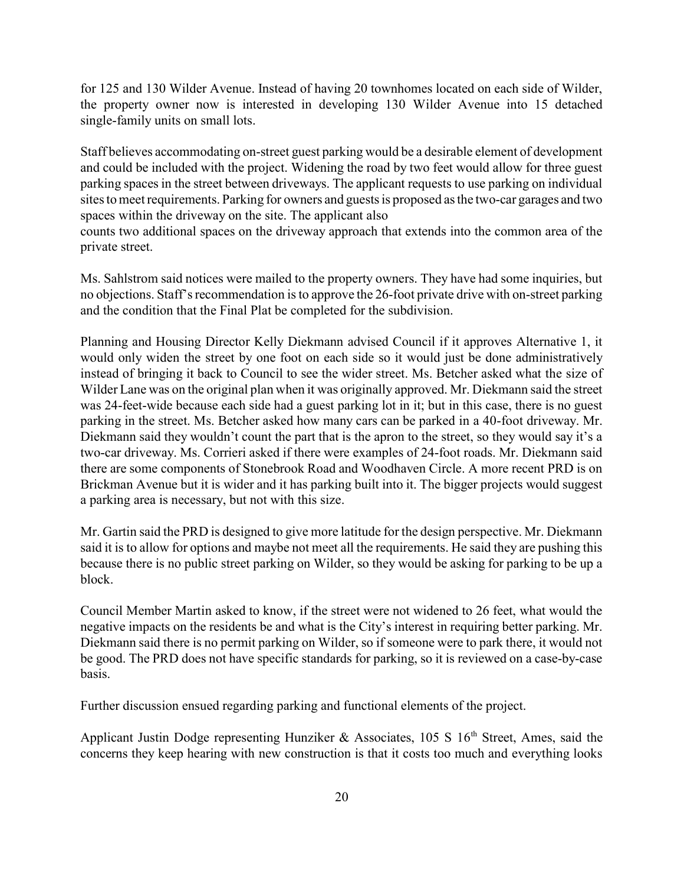for 125 and 130 Wilder Avenue. Instead of having 20 townhomes located on each side of Wilder, the property owner now is interested in developing 130 Wilder Avenue into 15 detached single-family units on small lots.

Staff believes accommodating on-street guest parking would be a desirable element of development and could be included with the project. Widening the road by two feet would allow for three guest parking spaces in the street between driveways. The applicant requests to use parking on individual sites to meet requirements. Parking for owners and guests is proposed as the two-car garages and two spaces within the driveway on the site. The applicant also

counts two additional spaces on the driveway approach that extends into the common area of the private street.

Ms. Sahlstrom said notices were mailed to the property owners. They have had some inquiries, but no objections. Staff's recommendation is to approve the 26-foot private drive with on-street parking and the condition that the Final Plat be completed for the subdivision.

Planning and Housing Director Kelly Diekmann advised Council if it approves Alternative 1, it would only widen the street by one foot on each side so it would just be done administratively instead of bringing it back to Council to see the wider street. Ms. Betcher asked what the size of Wilder Lane was on the original plan when it was originally approved. Mr. Diekmann said the street was 24-feet-wide because each side had a guest parking lot in it; but in this case, there is no guest parking in the street. Ms. Betcher asked how many cars can be parked in a 40-foot driveway. Mr. Diekmann said they wouldn't count the part that is the apron to the street, so they would say it's a two-car driveway. Ms. Corrieri asked if there were examples of 24-foot roads. Mr. Diekmann said there are some components of Stonebrook Road and Woodhaven Circle. A more recent PRD is on Brickman Avenue but it is wider and it has parking built into it. The bigger projects would suggest a parking area is necessary, but not with this size.

Mr. Gartin said the PRD is designed to give more latitude for the design perspective. Mr. Diekmann said it is to allow for options and maybe not meet all the requirements. He said they are pushing this because there is no public street parking on Wilder, so they would be asking for parking to be up a block.

Council Member Martin asked to know, if the street were not widened to 26 feet, what would the negative impacts on the residents be and what is the City's interest in requiring better parking. Mr. Diekmann said there is no permit parking on Wilder, so if someone were to park there, it would not be good. The PRD does not have specific standards for parking, so it is reviewed on a case-by-case basis.

Further discussion ensued regarding parking and functional elements of the project.

Applicant Justin Dodge representing Hunziker & Associates,  $105 S 16<sup>th</sup>$  Street, Ames, said the concerns they keep hearing with new construction is that it costs too much and everything looks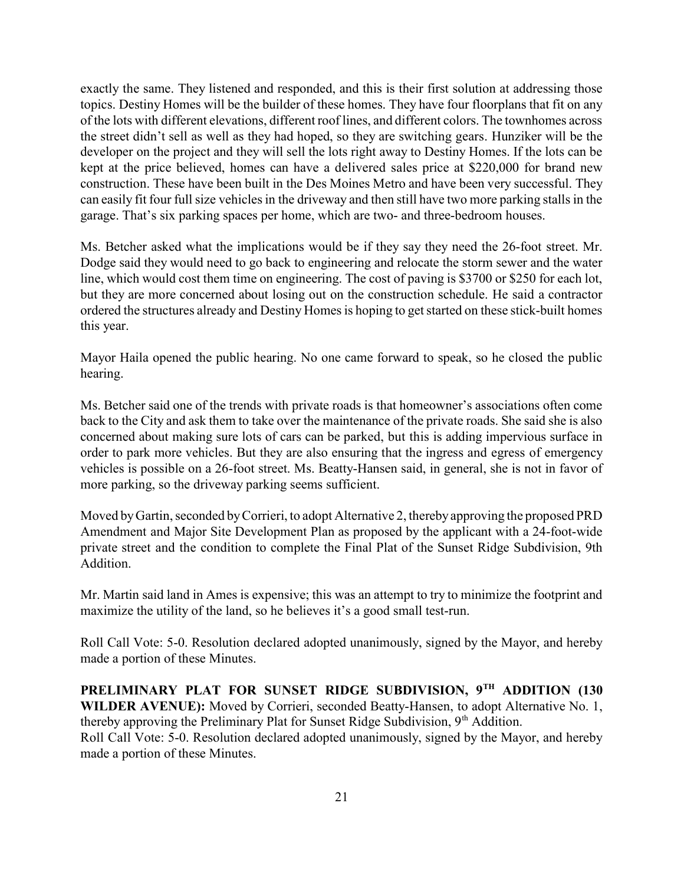exactly the same. They listened and responded, and this is their first solution at addressing those topics. Destiny Homes will be the builder of these homes. They have four floorplans that fit on any of the lots with different elevations, different roof lines, and different colors. The townhomes across the street didn't sell as well as they had hoped, so they are switching gears. Hunziker will be the developer on the project and they will sell the lots right away to Destiny Homes. If the lots can be kept at the price believed, homes can have a delivered sales price at \$220,000 for brand new construction. These have been built in the Des Moines Metro and have been very successful. They can easily fit four full size vehicles in the driveway and then still have two more parking stalls in the garage. That's six parking spaces per home, which are two- and three-bedroom houses.

Ms. Betcher asked what the implications would be if they say they need the 26-foot street. Mr. Dodge said they would need to go back to engineering and relocate the storm sewer and the water line, which would cost them time on engineering. The cost of paving is \$3700 or \$250 for each lot, but they are more concerned about losing out on the construction schedule. He said a contractor ordered the structures already and Destiny Homes is hoping to get started on these stick-built homes this year.

Mayor Haila opened the public hearing. No one came forward to speak, so he closed the public hearing.

Ms. Betcher said one of the trends with private roads is that homeowner's associations often come back to the City and ask them to take over the maintenance of the private roads. She said she is also concerned about making sure lots of cars can be parked, but this is adding impervious surface in order to park more vehicles. But they are also ensuring that the ingress and egress of emergency vehicles is possible on a 26-foot street. Ms. Beatty-Hansen said, in general, she is not in favor of more parking, so the driveway parking seems sufficient.

Moved by Gartin, seconded by Corrieri, to adopt Alternative 2, thereby approving the proposed PRD Amendment and Major Site Development Plan as proposed by the applicant with a 24-foot-wide private street and the condition to complete the Final Plat of the Sunset Ridge Subdivision, 9th Addition.

Mr. Martin said land in Ames is expensive; this was an attempt to try to minimize the footprint and maximize the utility of the land, so he believes it's a good small test-run.

Roll Call Vote: 5-0. Resolution declared adopted unanimously, signed by the Mayor, and hereby made a portion of these Minutes.

PRELIMINARY PLAT FOR SUNSET RIDGE SUBDIVISION, 9TH ADDITION (130 WILDER AVENUE): Moved by Corrieri, seconded Beatty-Hansen, to adopt Alternative No. 1, thereby approving the Preliminary Plat for Sunset Ridge Subdivision,  $9<sup>th</sup>$  Addition. Roll Call Vote: 5-0. Resolution declared adopted unanimously, signed by the Mayor, and hereby made a portion of these Minutes.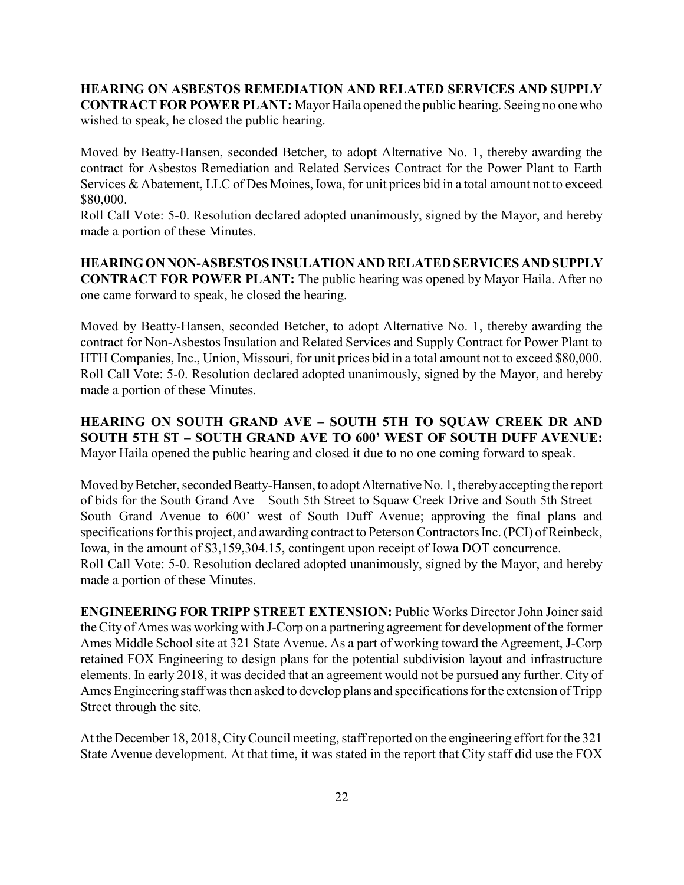#### HEARING ON ASBESTOS REMEDIATION AND RELATED SERVICES AND SUPPLY CONTRACT FOR POWER PLANT: Mayor Haila opened the public hearing. Seeing no one who wished to speak, he closed the public hearing.

Moved by Beatty-Hansen, seconded Betcher, to adopt Alternative No. 1, thereby awarding the contract for Asbestos Remediation and Related Services Contract for the Power Plant to Earth Services & Abatement, LLC of Des Moines, Iowa, for unit prices bid in a total amount not to exceed \$80,000.

Roll Call Vote: 5-0. Resolution declared adopted unanimously, signed by the Mayor, and hereby made a portion of these Minutes.

HEARING ON NON-ASBESTOS INSULATION AND RELATED SERVICES AND SUPPLY CONTRACT FOR POWER PLANT: The public hearing was opened by Mayor Haila. After no one came forward to speak, he closed the hearing.

Moved by Beatty-Hansen, seconded Betcher, to adopt Alternative No. 1, thereby awarding the contract for Non-Asbestos Insulation and Related Services and Supply Contract for Power Plant to HTH Companies, Inc., Union, Missouri, for unit prices bid in a total amount not to exceed \$80,000. Roll Call Vote: 5-0. Resolution declared adopted unanimously, signed by the Mayor, and hereby made a portion of these Minutes.

## HEARING ON SOUTH GRAND AVE – SOUTH 5TH TO SQUAW CREEK DR AND SOUTH 5TH ST – SOUTH GRAND AVE TO 600' WEST OF SOUTH DUFF AVENUE: Mayor Haila opened the public hearing and closed it due to no one coming forward to speak.

Moved by Betcher, seconded Beatty-Hansen, to adopt Alternative No. 1, thereby accepting the report of bids for the South Grand Ave – South 5th Street to Squaw Creek Drive and South 5th Street – South Grand Avenue to 600' west of South Duff Avenue; approving the final plans and specifications for this project, and awarding contract to Peterson Contractors Inc. (PCI) of Reinbeck, Iowa, in the amount of \$3,159,304.15, contingent upon receipt of Iowa DOT concurrence. Roll Call Vote: 5-0. Resolution declared adopted unanimously, signed by the Mayor, and hereby made a portion of these Minutes.

ENGINEERING FOR TRIPP STREET EXTENSION: Public Works Director John Joiner said the City of Ames was working with J-Corp on a partnering agreement for development of the former Ames Middle School site at 321 State Avenue. As a part of working toward the Agreement, J-Corp retained FOX Engineering to design plans for the potential subdivision layout and infrastructure elements. In early 2018, it was decided that an agreement would not be pursued any further. City of Ames Engineering staff was then asked to develop plans and specifications for the extension of Tripp Street through the site.

At the December 18, 2018, City Council meeting, staff reported on the engineering effort for the 321 State Avenue development. At that time, it was stated in the report that City staff did use the FOX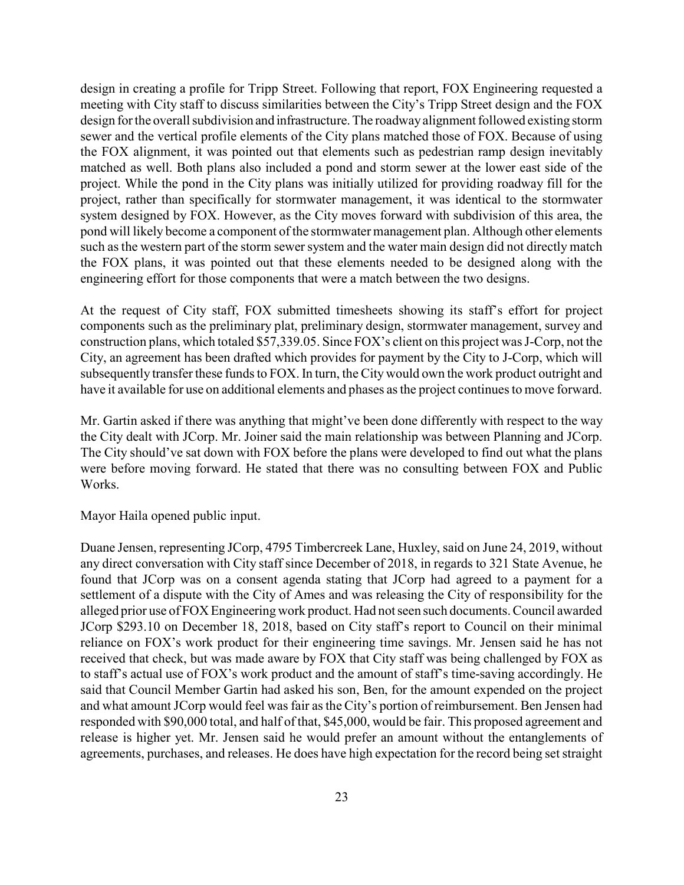design in creating a profile for Tripp Street. Following that report, FOX Engineering requested a meeting with City staff to discuss similarities between the City's Tripp Street design and the FOX design for the overall subdivision and infrastructure. The roadway alignment followed existing storm sewer and the vertical profile elements of the City plans matched those of FOX. Because of using the FOX alignment, it was pointed out that elements such as pedestrian ramp design inevitably matched as well. Both plans also included a pond and storm sewer at the lower east side of the project. While the pond in the City plans was initially utilized for providing roadway fill for the project, rather than specifically for stormwater management, it was identical to the stormwater system designed by FOX. However, as the City moves forward with subdivision of this area, the pond will likely become a component of the stormwater management plan. Although other elements such as the western part of the storm sewer system and the water main design did not directly match the FOX plans, it was pointed out that these elements needed to be designed along with the engineering effort for those components that were a match between the two designs.

At the request of City staff, FOX submitted timesheets showing its staff's effort for project components such as the preliminary plat, preliminary design, stormwater management, survey and construction plans, which totaled \$57,339.05. Since FOX's client on this project was J-Corp, not the City, an agreement has been drafted which provides for payment by the City to J-Corp, which will subsequently transfer these funds to FOX. In turn, the City would own the work product outright and have it available for use on additional elements and phases as the project continues to move forward.

Mr. Gartin asked if there was anything that might've been done differently with respect to the way the City dealt with JCorp. Mr. Joiner said the main relationship was between Planning and JCorp. The City should've sat down with FOX before the plans were developed to find out what the plans were before moving forward. He stated that there was no consulting between FOX and Public Works.

Mayor Haila opened public input.

Duane Jensen, representing JCorp, 4795 Timbercreek Lane, Huxley, said on June 24, 2019, without any direct conversation with City staff since December of 2018, in regards to 321 State Avenue, he found that JCorp was on a consent agenda stating that JCorp had agreed to a payment for a settlement of a dispute with the City of Ames and was releasing the City of responsibility for the alleged prior use of FOX Engineering work product. Had not seen such documents. Council awarded JCorp \$293.10 on December 18, 2018, based on City staff's report to Council on their minimal reliance on FOX's work product for their engineering time savings. Mr. Jensen said he has not received that check, but was made aware by FOX that City staff was being challenged by FOX as to staff's actual use of FOX's work product and the amount of staff's time-saving accordingly. He said that Council Member Gartin had asked his son, Ben, for the amount expended on the project and what amount JCorp would feel was fair as the City's portion of reimbursement. Ben Jensen had responded with \$90,000 total, and half of that, \$45,000, would be fair. This proposed agreement and release is higher yet. Mr. Jensen said he would prefer an amount without the entanglements of agreements, purchases, and releases. He does have high expectation for the record being set straight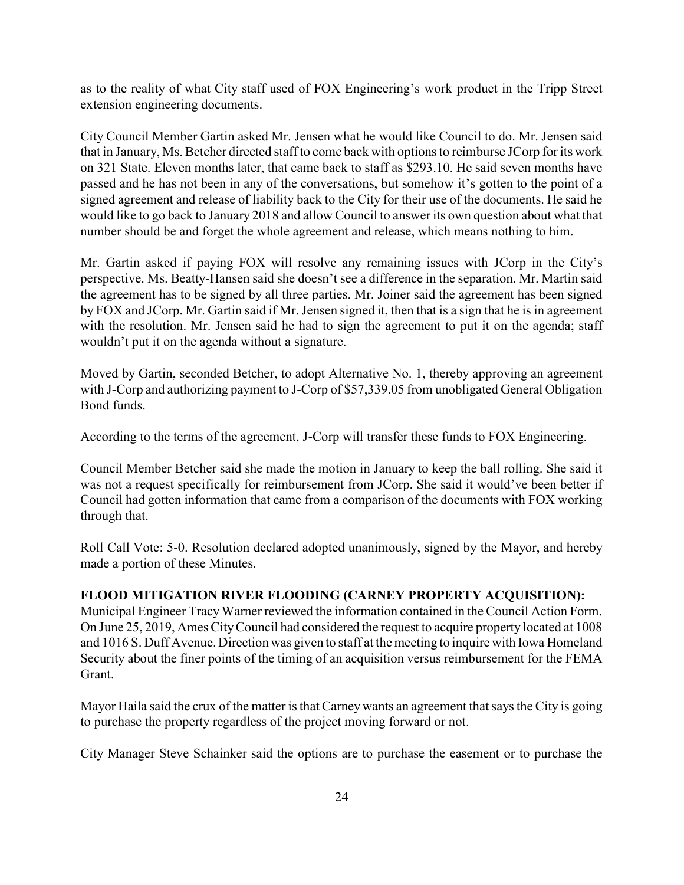as to the reality of what City staff used of FOX Engineering's work product in the Tripp Street extension engineering documents.

City Council Member Gartin asked Mr. Jensen what he would like Council to do. Mr. Jensen said that in January, Ms. Betcher directed staff to come back with options to reimburse JCorp for its work on 321 State. Eleven months later, that came back to staff as \$293.10. He said seven months have passed and he has not been in any of the conversations, but somehow it's gotten to the point of a signed agreement and release of liability back to the City for their use of the documents. He said he would like to go back to January 2018 and allow Council to answer its own question about what that number should be and forget the whole agreement and release, which means nothing to him.

Mr. Gartin asked if paying FOX will resolve any remaining issues with JCorp in the City's perspective. Ms. Beatty-Hansen said she doesn't see a difference in the separation. Mr. Martin said the agreement has to be signed by all three parties. Mr. Joiner said the agreement has been signed by FOX and JCorp. Mr. Gartin said if Mr. Jensen signed it, then that is a sign that he is in agreement with the resolution. Mr. Jensen said he had to sign the agreement to put it on the agenda; staff wouldn't put it on the agenda without a signature.

Moved by Gartin, seconded Betcher, to adopt Alternative No. 1, thereby approving an agreement with J-Corp and authorizing payment to J-Corp of \$57,339.05 from unobligated General Obligation Bond funds.

According to the terms of the agreement, J-Corp will transfer these funds to FOX Engineering.

Council Member Betcher said she made the motion in January to keep the ball rolling. She said it was not a request specifically for reimbursement from JCorp. She said it would've been better if Council had gotten information that came from a comparison of the documents with FOX working through that.

Roll Call Vote: 5-0. Resolution declared adopted unanimously, signed by the Mayor, and hereby made a portion of these Minutes.

#### FLOOD MITIGATION RIVER FLOODING (CARNEY PROPERTY ACQUISITION):

Municipal Engineer Tracy Warner reviewed the information contained in the Council Action Form. On June 25, 2019, Ames City Council had considered the request to acquire property located at 1008 and 1016 S. Duff Avenue. Direction was given to staff at the meeting to inquire with Iowa Homeland Security about the finer points of the timing of an acquisition versus reimbursement for the FEMA Grant.

Mayor Haila said the crux of the matter is that Carney wants an agreement that says the City is going to purchase the property regardless of the project moving forward or not.

City Manager Steve Schainker said the options are to purchase the easement or to purchase the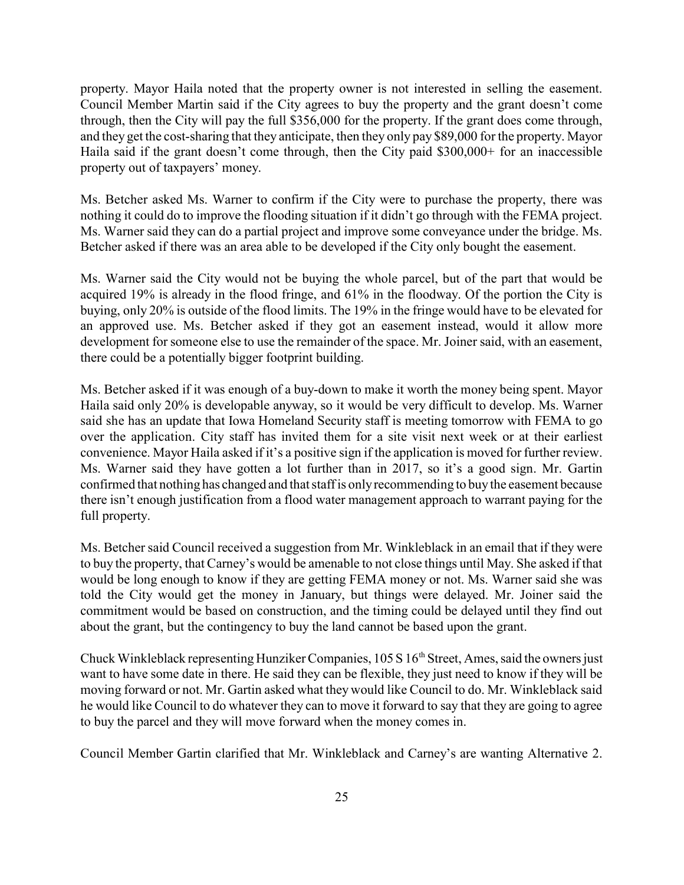property. Mayor Haila noted that the property owner is not interested in selling the easement. Council Member Martin said if the City agrees to buy the property and the grant doesn't come through, then the City will pay the full \$356,000 for the property. If the grant does come through, and they get the cost-sharing that they anticipate, then they only pay \$89,000 for the property. Mayor Haila said if the grant doesn't come through, then the City paid \$300,000+ for an inaccessible property out of taxpayers' money.

Ms. Betcher asked Ms. Warner to confirm if the City were to purchase the property, there was nothing it could do to improve the flooding situation if it didn't go through with the FEMA project. Ms. Warner said they can do a partial project and improve some conveyance under the bridge. Ms. Betcher asked if there was an area able to be developed if the City only bought the easement.

Ms. Warner said the City would not be buying the whole parcel, but of the part that would be acquired 19% is already in the flood fringe, and 61% in the floodway. Of the portion the City is buying, only 20% is outside of the flood limits. The 19% in the fringe would have to be elevated for an approved use. Ms. Betcher asked if they got an easement instead, would it allow more development for someone else to use the remainder of the space. Mr. Joiner said, with an easement, there could be a potentially bigger footprint building.

Ms. Betcher asked if it was enough of a buy-down to make it worth the money being spent. Mayor Haila said only 20% is developable anyway, so it would be very difficult to develop. Ms. Warner said she has an update that Iowa Homeland Security staff is meeting tomorrow with FEMA to go over the application. City staff has invited them for a site visit next week or at their earliest convenience. Mayor Haila asked if it's a positive sign if the application is moved for further review. Ms. Warner said they have gotten a lot further than in 2017, so it's a good sign. Mr. Gartin confirmed that nothing has changed and that staff is only recommending to buy the easement because there isn't enough justification from a flood water management approach to warrant paying for the full property.

Ms. Betcher said Council received a suggestion from Mr. Winkleblack in an email that if they were to buy the property, that Carney's would be amenable to not close things until May. She asked if that would be long enough to know if they are getting FEMA money or not. Ms. Warner said she was told the City would get the money in January, but things were delayed. Mr. Joiner said the commitment would be based on construction, and the timing could be delayed until they find out about the grant, but the contingency to buy the land cannot be based upon the grant.

Chuck Winkleblack representing Hunziker Companies, 105 S 16<sup>th</sup> Street, Ames, said the owners just want to have some date in there. He said they can be flexible, they just need to know if they will be moving forward or not. Mr. Gartin asked what they would like Council to do. Mr. Winkleblack said he would like Council to do whatever they can to move it forward to say that they are going to agree to buy the parcel and they will move forward when the money comes in.

Council Member Gartin clarified that Mr. Winkleblack and Carney's are wanting Alternative 2.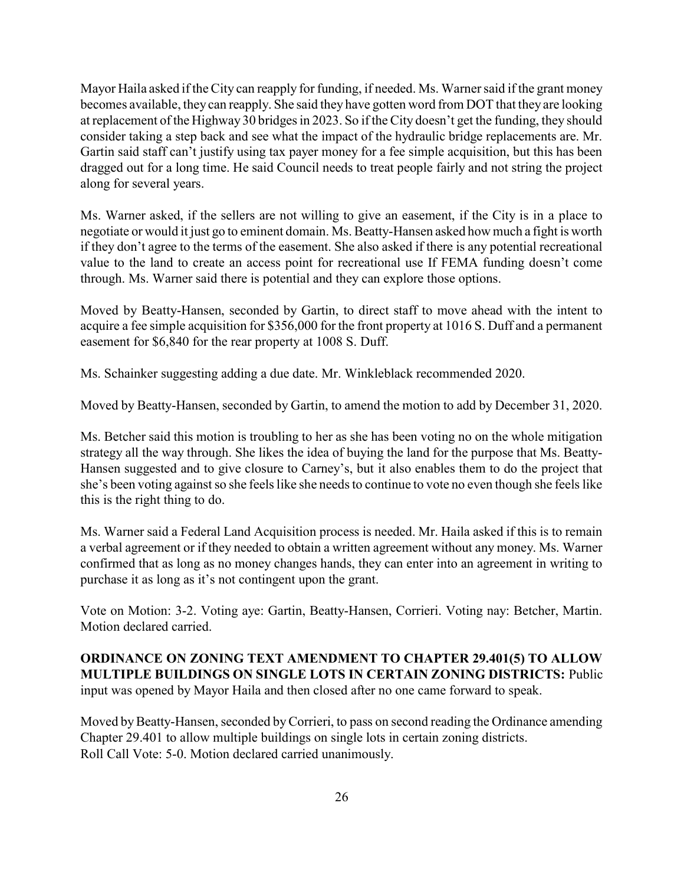Mayor Haila asked if the City can reapply for funding, if needed. Ms. Warner said if the grant money becomes available, they can reapply. She said they have gotten word from DOT that they are looking at replacement of the Highway 30 bridges in 2023. So if the City doesn't get the funding, they should consider taking a step back and see what the impact of the hydraulic bridge replacements are. Mr. Gartin said staff can't justify using tax payer money for a fee simple acquisition, but this has been dragged out for a long time. He said Council needs to treat people fairly and not string the project along for several years.

Ms. Warner asked, if the sellers are not willing to give an easement, if the City is in a place to negotiate or would it just go to eminent domain. Ms. Beatty-Hansen asked how much a fight is worth if they don't agree to the terms of the easement. She also asked if there is any potential recreational value to the land to create an access point for recreational use If FEMA funding doesn't come through. Ms. Warner said there is potential and they can explore those options.

Moved by Beatty-Hansen, seconded by Gartin, to direct staff to move ahead with the intent to acquire a fee simple acquisition for \$356,000 for the front property at 1016 S. Duff and a permanent easement for \$6,840 for the rear property at 1008 S. Duff.

Ms. Schainker suggesting adding a due date. Mr. Winkleblack recommended 2020.

Moved by Beatty-Hansen, seconded by Gartin, to amend the motion to add by December 31, 2020.

Ms. Betcher said this motion is troubling to her as she has been voting no on the whole mitigation strategy all the way through. She likes the idea of buying the land for the purpose that Ms. Beatty-Hansen suggested and to give closure to Carney's, but it also enables them to do the project that she's been voting against so she feels like she needs to continue to vote no even though she feels like this is the right thing to do.

Ms. Warner said a Federal Land Acquisition process is needed. Mr. Haila asked if this is to remain a verbal agreement or if they needed to obtain a written agreement without any money. Ms. Warner confirmed that as long as no money changes hands, they can enter into an agreement in writing to purchase it as long as it's not contingent upon the grant.

Vote on Motion: 3-2. Voting aye: Gartin, Beatty-Hansen, Corrieri. Voting nay: Betcher, Martin. Motion declared carried.

ORDINANCE ON ZONING TEXT AMENDMENT TO CHAPTER 29.401(5) TO ALLOW MULTIPLE BUILDINGS ON SINGLE LOTS IN CERTAIN ZONING DISTRICTS: Public input was opened by Mayor Haila and then closed after no one came forward to speak.

Moved by Beatty-Hansen, seconded by Corrieri, to pass on second reading the Ordinance amending Chapter 29.401 to allow multiple buildings on single lots in certain zoning districts. Roll Call Vote: 5-0. Motion declared carried unanimously.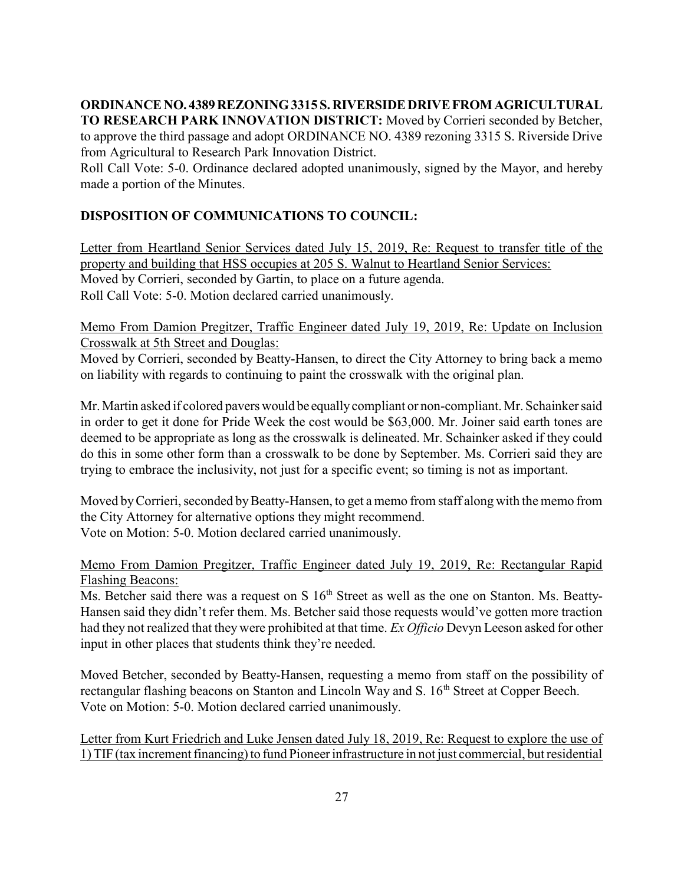ORDINANCE NO. 4389 REZONING 3315 S. RIVERSIDE DRIVE FROM AGRICULTURAL TO RESEARCH PARK INNOVATION DISTRICT: Moved by Corrieri seconded by Betcher, to approve the third passage and adopt ORDINANCE NO. 4389 rezoning 3315 S. Riverside Drive from Agricultural to Research Park Innovation District.

Roll Call Vote: 5-0. Ordinance declared adopted unanimously, signed by the Mayor, and hereby made a portion of the Minutes.

# DISPOSITION OF COMMUNICATIONS TO COUNCIL:

Letter from Heartland Senior Services dated July 15, 2019, Re: Request to transfer title of the property and building that HSS occupies at 205 S. Walnut to Heartland Senior Services: Moved by Corrieri, seconded by Gartin, to place on a future agenda. Roll Call Vote: 5-0. Motion declared carried unanimously.

Memo From Damion Pregitzer, Traffic Engineer dated July 19, 2019, Re: Update on Inclusion Crosswalk at 5th Street and Douglas:

Moved by Corrieri, seconded by Beatty-Hansen, to direct the City Attorney to bring back a memo on liability with regards to continuing to paint the crosswalk with the original plan.

Mr. Martin asked if colored pavers would be equally compliant or non-compliant. Mr. Schainker said in order to get it done for Pride Week the cost would be \$63,000. Mr. Joiner said earth tones are deemed to be appropriate as long as the crosswalk is delineated. Mr. Schainker asked if they could do this in some other form than a crosswalk to be done by September. Ms. Corrieri said they are trying to embrace the inclusivity, not just for a specific event; so timing is not as important.

Moved by Corrieri, seconded by Beatty-Hansen, to get a memo from staff along with the memo from the City Attorney for alternative options they might recommend. Vote on Motion: 5-0. Motion declared carried unanimously.

### Memo From Damion Pregitzer, Traffic Engineer dated July 19, 2019, Re: Rectangular Rapid Flashing Beacons:

Ms. Betcher said there was a request on S  $16<sup>th</sup>$  Street as well as the one on Stanton. Ms. Beatty-Hansen said they didn't refer them. Ms. Betcher said those requests would've gotten more traction had they not realized that they were prohibited at that time. Ex Officio Devyn Leeson asked for other input in other places that students think they're needed.

Moved Betcher, seconded by Beatty-Hansen, requesting a memo from staff on the possibility of rectangular flashing beacons on Stanton and Lincoln Way and S. 16<sup>th</sup> Street at Copper Beech. Vote on Motion: 5-0. Motion declared carried unanimously.

Letter from Kurt Friedrich and Luke Jensen dated July 18, 2019, Re: Request to explore the use of 1) TIF (tax increment financing) to fund Pioneer infrastructure in not just commercial, but residential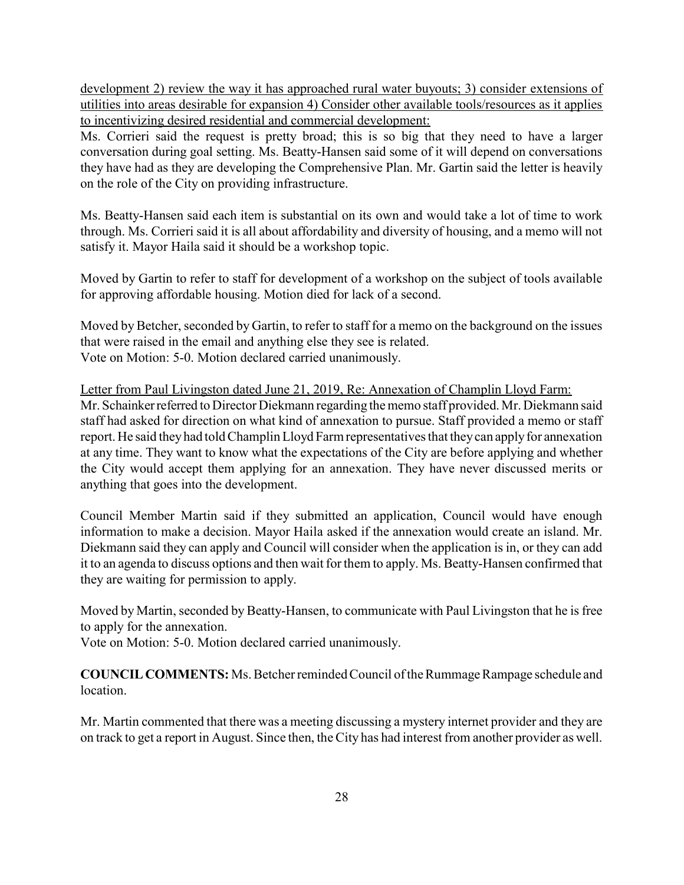development 2) review the way it has approached rural water buyouts; 3) consider extensions of utilities into areas desirable for expansion 4) Consider other available tools/resources as it applies to incentivizing desired residential and commercial development:

Ms. Corrieri said the request is pretty broad; this is so big that they need to have a larger conversation during goal setting. Ms. Beatty-Hansen said some of it will depend on conversations they have had as they are developing the Comprehensive Plan. Mr. Gartin said the letter is heavily on the role of the City on providing infrastructure.

Ms. Beatty-Hansen said each item is substantial on its own and would take a lot of time to work through. Ms. Corrieri said it is all about affordability and diversity of housing, and a memo will not satisfy it. Mayor Haila said it should be a workshop topic.

Moved by Gartin to refer to staff for development of a workshop on the subject of tools available for approving affordable housing. Motion died for lack of a second.

Moved by Betcher, seconded by Gartin, to refer to staff for a memo on the background on the issues that were raised in the email and anything else they see is related. Vote on Motion: 5-0. Motion declared carried unanimously.

Letter from Paul Livingston dated June 21, 2019, Re: Annexation of Champlin Lloyd Farm: Mr. Schainker referred to Director Diekmann regarding the memo staff provided. Mr. Diekmann said staff had asked for direction on what kind of annexation to pursue. Staff provided a memo or staff report. He said they had told Champlin Lloyd Farm representatives that they can apply for annexation at any time. They want to know what the expectations of the City are before applying and whether the City would accept them applying for an annexation. They have never discussed merits or anything that goes into the development.

Council Member Martin said if they submitted an application, Council would have enough information to make a decision. Mayor Haila asked if the annexation would create an island. Mr. Diekmann said they can apply and Council will consider when the application is in, or they can add it to an agenda to discuss options and then wait for them to apply. Ms. Beatty-Hansen confirmed that they are waiting for permission to apply.

Moved by Martin, seconded by Beatty-Hansen, to communicate with Paul Livingston that he is free to apply for the annexation.

Vote on Motion: 5-0. Motion declared carried unanimously.

COUNCIL COMMENTS: Ms. Betcher reminded Council of the Rummage Rampage schedule and location.

Mr. Martin commented that there was a meeting discussing a mystery internet provider and they are on track to get a report in August. Since then, the City has had interest from another provider as well.